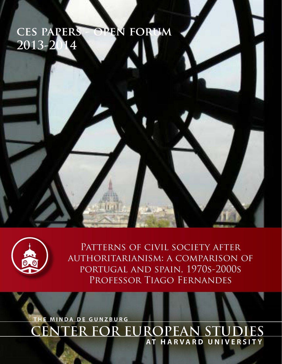# **ces papers - open forum 2013-2014**



PATTERNS OF CIVIL SOCIETY AFTER authoritarianism: a comparison of portugal and spain, 1970s-2000s PROFESSOR TIAGO FERNANDES

**CENTER FOR EUROPEAN STUDIES THE MINDA DE GUNZBURG AT HARVARD UNIVERSITY**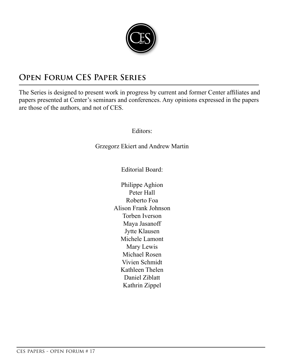

# **Open Forum CES Paper Series**

The Series is designed to present work in progress by current and former Center affiliates and papers presented at Center's seminars and conferences. Any opinions expressed in the papers are those of the authors, and not of CES.

Editors:

Grzegorz Ekiert and Andrew Martin

Editorial Board:

Philippe Aghion Peter Hall Roberto Foa Alison Frank Johnson Torben Iverson Maya Jasanoff Jytte Klausen Michele Lamont Mary Lewis Michael Rosen Vivien Schmidt Kathleen Thelen Daniel Ziblatt Kathrin Zippel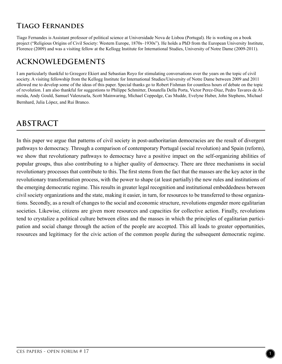### **Tiago Fernandes**

Tiago Fernandes is Assistant professor of political science at Universidade Nova de Lisboa (Portugal). He is working on a book project ("Religious Origins of Civil Society: Western Europe, 1870s–1930s"). He holds a PhD from the European University Institute, Florence (2009) and was a visiting fellow at the Kellogg Institute for International Studies, University of Notre Dame (2009-2011).

#### **ACKNOWLEDGEMENTS**

I am particularly thankful to Grzegorz Ekiert and Sebastian Royo for stimulating conversations over the years on the topic of civil society. A visiting fellowship from the Kellogg Institute for International Studies/University of Notre Dame between 2009 and 2011 allowed me to develop some of the ideas of this paper. Special thanks go to Robert Fishman for countless hours of debate on the topic of revolution. I am also thankful for suggestions to Philippe Schmitter, Donatella Della Porta, Victor Perez-Diaz, Pedro Tavares de Almeida, Andy Gould, Samuel Valenzuela, Scott Mainwaring, Michael Coppedge, Cas Mudde, Evelyne Huber, John Stephens, Michael Bernhard, Julia López, and Rui Branco.

## **ABSTRACT**

In this paper we argue that patterns of civil society in post-authoritarian democracies are the result of divergent pathways to democracy. Through a comparison of contemporary Portugal (social revolution) and Spain (reform), we show that revolutionary pathways to democracy have a positive impact on the self-organizing abilities of popular groups, thus also contributing to a higher quality of democracy. There are three mechanisms in social revolutionary processes that contribute to this. The first stems from the fact that the masses are the key actor in the revolutionary transformation process, with the power to shape (at least partially) the new rules and institutions of the emerging democratic regime. This results in greater legal recognition and institutional embeddedness between civil society organizations and the state, making it easier, in turn, for resources to be transferred to those organizations. Secondly, as a result of changes to the social and economic structure, revolutions engender more egalitarian societies. Likewise, citizens are given more resources and capacities for collective action. Finally, revolutions tend to crystalize a political culture between elites and the masses in which the principles of egalitarian participation and social change through the action of the people are accepted. This all leads to greater opportunities, resources and legitimacy for the civic action of the common people during the subsequent democratic regime.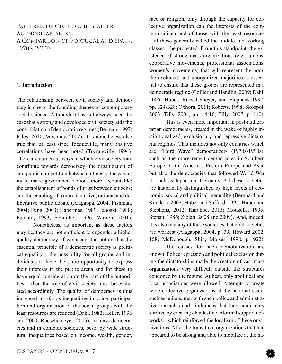#### PATTERNS OF CIVIL SOCIETY AFTER Authoritarianism: A Comparison of Portugal and Spain, 1970's-2000's

#### **1. Introduction**

The relationship between civil society and democracy is one of the founding themes of contemporary social science. Although it has not always been the case that a strong and developed civil society aids the consolidation of democratic regimes (Berman, 1997; Riley, 2010; Varshney, 2002), it is nonetheless also true that, at least since Tocqueville, many positive correlations have been noted (Tocqueville, 1994). There are numerous ways in which civil society may contribute towards democracy: the organization of and public competition between interests; the capacity to make government actions more accountable; the establishment of bonds of trust between citizens; and the enabling of a more inclusive, rational and deliberative public debate (Alagappa, 2004; Fishman, 2004; Fung, 2003; Habermas, 1989; Janoski, 1988; Putnam, 1993; Schmitter, 1996; Warren, 2001).

Nonetheless, as important as these factors may be, they are not sufficient to engender a higher quality democracy. If we accept the notion that the essential principle of a democratic society is political equality – the possibility for all groups and individuals to have the same opportunity to express their interests in the public arena and for these to have equal consideration on the part of the authorities – then the role of civil society must be evaluated accordingly. The quality of democracy is thus increased insofar as inequalities in voice, participation and organization of the social groups with the least resources are reduced (Dahl, 1982; Heller, 1996 and 2000; Rueschemeyer, 2005). In mass democracies and in complex societies, beset by wide structural inequalities based on income, wealth, gender,

race or religion, only through the capacity for collective organization can the interests of the common citizen and of those with the least resources – of those generally called the middle and working classes – be protected. From this standpoint, the existence of strong mass organizations (e.g.: unions, cooperative movements, professional associations, women's movements) that will represent the poor, the excluded, and unorganized majorities is essential to ensure that these groups are represented in a democratic regime (Collier and Handlin, 2009; Dahl, 2006; Huber, Rueschemeyer, and Stephens 1997, pp. 324-328; Oxhorn, 2011; Roberts, 1998; Skocpol, 2003; Tilly, 2004, pp. 14-16; Tilly, 2007, p. 110).

This is even more important in post-authoritarian democracies, created in the wake of highly institutionalized, exclusionary and repressive dictatorial regimes. This includes not only countries which are "Third Wave" democratizers (1970s-1990s), such as the more recent democracies in Southern Europe, Latin America, Eastern Europe and Asia, but also the democracies that followed World War II, such as Japan and Germany. All these societies are historically distinguished by high levels of economic, social and political inequality (Bernhard and Karakoc, 2007; Huber and Safford, 1995; Huber and Stephens, 2012; Karakoc, 2013; Mouzelis, 1995; Stepan, 1986; Ziblatt, 2008 and 2009). And, indeed, it is also in many of these societies that civil societies are weakest (Alagappa, 2004, p. 39; Howard 2002, 158; McDonough, Shin, Moisés, 1998, p. 922).

The causes for such demobilization are known. Police repression and political exclusion during the dictatorships made the creation of vast mass organizations very difficult outside the structures condoned by the regime. At best, only apolitical and local associations were allowed. Attempts to create wide collective organizations at the national scale, such as unions, met with such police and administrative obstacles and hindrances that they could only survive by creating clandestine informal support networks – which reinforced the localism of these organizations. After the transition, organizations that had appeared to be strong and able to mobilize at the na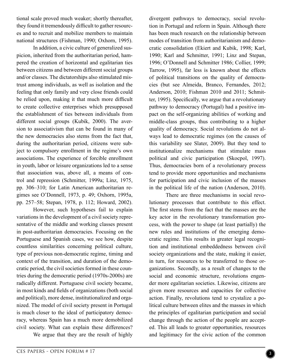tional scale proved much weaker; shortly thereafter, they found it tremendously difficult to gather resources and to recruit and mobilize members to maintain national structures (Fishman, 1990; Oxhorn, 1995).

In addition, a civic culture of generalized suspicion, inherited from the authoritarian period, hampered the creation of horizontal and egalitarian ties between citizens and between different social groups and/or classes. The dictatorships also stimulated mistrust among individuals, as well as isolation and the feeling that only family and very close friends could be relied upon, making it that much more difficult to create collective enterprises which presupposed the establishment of ties between individuals from different social groups (Kubik, 2000). The aversion to associativism that can be found in many of the new democracies also stems from the fact that, during the authoritarian period, citizens were subject to compulsory enrollment in the regime's own associations. The experience of forcible enrollment in youth, labor or leisure organizations led to a sense that association was, above all, a means of control and repression (Schmitter, 1999a; Linz, 1975, pp. 306–310; for Latin American authoritarian regimes see O'Donnell, 1973, p. 49; Oxhorn, 1995a, pp. 257–58; Stepan, 1978, p. 112; Howard, 2002).

However, such hypotheses fail to explain variations in the development of a civil society representative of the middle and working classes present in post-authoritarian democracies. Focusing on the Portuguese and Spanish cases, we see how, despite countless similarities concerning political culture, type of previous non-democratic regime, timing and context of the transition, and duration of the democratic period, the civil societies formed in these countries during the democratic period (1970s-2000s) are radically different. Portuguese civil society became, in most kinds and fields of organizations (both social and political), more dense, institutionalized and organized. The model of civil society present in Portugal is much closer to the ideal of participatory democracy, whereas Spain has a much more demobilized civil society. What can explain these differences?

We argue that they are the result of highly

divergent pathways to democracy, social revolution in Portugal and reform in Spain. Although there has been much research on the relationship between modes of transition from authoritarianism and democratic consolidation (Ekiert and Kubik, 1998; Karl, 1990; Karl and Schmitter, 1991; Linz and Stepan, 1996; O'Donnell and Schmitter 1986; Collier, 1999; Tarrow, 1995), far less is known about the effects of political transitions on the quality of democracies (but see Almeida, Branco, Fernandes, 2012; Anderson, 2010; Fishman 2010 and 2011; Schmitter, 1995). Specifically, we argue that a revolutionary pathway to democracy (Portugal) had a positive impact on the self-organizing abilities of working and middle-class groups, thus contributing to a higher quality of democracy. Social revolutions do not always lead to democratic regimes (on the causes of this variability see Slater, 2009). But they tend to institutionalize mechanisms that stimulate mass political and civic participation (Skocpol, 1997). Thus, democracies born of a revolutionary process tend to provide more opportunities and mechanisms for participation and civic inclusion of the masses in the political life of the nation (Anderson, 2010).

There are three mechanisms in social revolutionary processes that contribute to this effect. The first stems from the fact that the masses are the key actor in the revolutionary transformation process, with the power to shape (at least partially) the new rules and institutions of the emerging democratic regime. This results in greater legal recognition and institutional embeddedness between civil society organizations and the state, making it easier, in turn, for resources to be transferred to those organizations. Secondly, as a result of changes to the social and economic structure, revolutions engender more egalitarian societies. Likewise, citizens are given more resources and capacities for collective action. Finally, revolutions tend to crystalize a political culture between elites and the masses in which the principles of egalitarian participation and social change through the action of the people are accepted. This all leads to greater opportunities, resources and legitimacy for the civic action of the common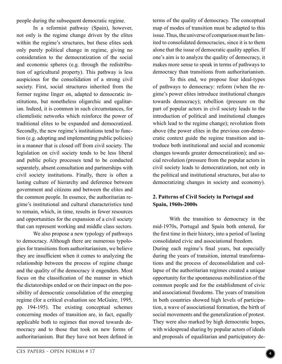people during the subsequent democratic regime.

In a reformist pathway (Spain), however, not only is the regime change driven by the elites within the regime's structures, but these elites seek only purely political change in regime, giving no consideration to the democratization of the social and economic spheres (e.g. through the redistribution of agricultural property). This pathway is less auspicious for the consolidation of a strong civil society. First, social structures inherited from the former regime linger on, adapted to democratic institutions, but nonetheless oligarchic and egalitarian. Indeed, it is common in such circumstances, for clientelistic networks which reinforce the power of traditional elites to be expanded and democratized. Secondly, the new regime's institutions tend to function (e.g. adopting and implementing public policies) in a manner that is closed off from civil society. The legislation on civil society tends to be less liberal and public policy processes tend to be conducted separately, absent consultation and partnerships with civil society institutions. Finally, there is often a lasting culture of hierarchy and deference between government and citizens and between the elites and the common people. In essence, the authoritarian regime's institutional and cultural characteristics tend to remain, which, in time, results in fewer resources and opportunities for the expansion of a civil society that can represent working and middle class sectors.

We also propose a new typology of pathways to democracy. Although there are numerous typologies for transitions from authoritarianism, we believe they are insufficient when it comes to analyzing the relationship between the process of regime change and the quality of the democracy it engenders. Most focus on the classification of the manner in which the dictatorships ended or on their impact on the possibility of democratic consolidation of the emerging regime (for a critical evaluation see McGuire, 1995, pp. 194-195). The existing conceptual schemes concerning modes of transition are, in fact, equally applicable both to regimes that moved towards democracy and to those that took on new forms of authoritarianism. But they have not been defined in

terms of the quality of democracy. The conceptual map of modes of transition must be adapted to this issue. Thus, the universe of comparison must be limited to consolidated democracies, since it is to them alone that the issue of democratic quality applies. If one's aim is to analyze the quality of democracy, it makes more sense to speak in terms of pathways to democracy than transitions from authoritarianism.

To this end, we propose four ideal-types of pathways to democracy: reform (when the regime's power elites introduce institutional changes towards democracy); rebellion (pressure on the part of popular actors in civil society leads to the introduction of political and institutional changes which lead to the regime change); revolution from above (the power elites in the previous con-democratic context guide the regime transition and introduce both institutional and social and economic changes towards greater democratization); and social revolution (pressure from the popular actors in civil society leads to democratization, not only in the political and institutional structures, but also to democratizing changes in society and economy).

#### **2. Patterns of Civil Society in Portugal and Spain, 1960s-2000s**

With the transition to democracy in the mid-1970s, Portugal and Spain both entered, for the first time in their history, into a period of lasting consolidated civic and associational freedom. During each regime's final years, but especially during the years of transition, internal transformations and the process of deconsolidation and collapse of the authoritarian regimes created a unique opportunity for the spontaneous mobilization of the common people and for the establishment of civic and associational freedoms. The years of transition in both countries showed high levels of participation, a wave of associational formation, the birth of social movements and the generalization of protest. They were also marked by high democratic hopes, with widespread sharing by popular actors of ideals and proposals of equalitarian and participatory de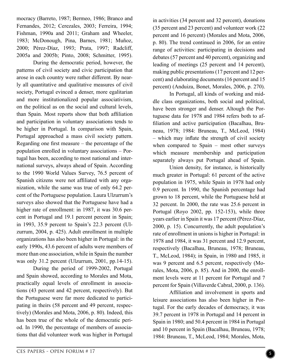mocracy (Barreto, 1987; Bermeo, 1986; Branco and Fernandes, 2012; Cerezales, 2003; Ferreira, 1994; Fishman, 1990a and 2011; Graham and Wheeler, 1983; McDonough, Pina, Barnes, 1981; Muñoz, 2000; Pérez-Díaz, 1993; Prata, 1997; Radcliff, 2005a and 2005b; Pinto, 2008; Schmitter, 1995).

During the democratic period, however, the patterns of civil society and civic participation that arose in each country were rather different. By nearly all quantitative and qualitative measures of civil society, Portugal evinced a denser, more egalitarian and more institutionalized popular associativism, on the political as on the social and cultural levels, than Spain. Most reports show that both affiliation and participation in voluntary associations tends to be higher in Portugal. In comparison with Spain, Portugal approached a mass civil society pattern. Regarding one first measure – the percentage of the population enrolled in voluntary associations – Portugal has been, according to most national and international surveys, always ahead of Spain. According to the 1990 World Values Survey, 76.5 percent of Spanish citizens were not affiliated with any organization, while the same was true of only 64.2 percent of the Portuguese population. Laura Ulzurrum's surveys also showed that the Portuguese have had a higher rate of enrollment: in 1987, it was 30.6 percent in Portugal and 19.1 percent percent in Spain; in 1993, 35.9 percent to Spain's 22.3 percent (Ulzurrum, 2004, p. 425). Adult enrollment in multiple organizations has also been higher in Portugal: in the early 1990s, 43.6 percent of adults were members of more than one association, while in Spain the number was only 31.2 percent (Ulzurrum, 2001, pp.14-15).

During the period of 1999-2002, Portugal and Spain showed, according to Morales and Mota, practically equal levels of enrollment in associations (43 percent and 42 percent, respectively). But the Portuguese were far more dedicated to participating in theirs (58 percent and 49 percent, respectively) (Morales and Mota, 2006, p. 80). Indeed, this has been true of the whole of the democratic period. In 1990, the percentage of members of associations that did volunteer work was higher in Portugal

in activities (34 percent and 32 percent), donations (35 percent and 23 percent) and volunteer work (22 percent and 16 percent) (Morales and Mota, 2006, p. 80). The trend continued in 2006, for an entire range of activities: participating in decisions and debates (57 percent and 40 percent), organizing and leading of meetings (25 percent and 14 percent), making public presentations (17 percent and 12 percent) and elaborating documents (16 percent and 15 percent) (Anduiza, Bonet, Morales, 2006, p. 270).

In Portugal, all kinds of working and middle class organizations, both social and political, have been stronger and denser. Altough the Portuguese data for 1978 and 1984 refers both to affiliation and active participation (Bacalhau, Bruneau, 1978; 1984: Bruneau, T., McLeod, 1984) – which may inflate the strength of civil society when compared to Spain – most other surveys which measure membership and participation separately always put Portugal ahead of Spain.

Union density, for instance, is historically much greater in Portugal: 61 percent of the active population in 1975, while Spain in 1978 had only 0.9 percent. In 1990, the Spanish percentage had grown to 18 percent, while the Portuguese held at 32 percent. In 2000, the rate was 25.6 percent in Portugal (Royo 2002, pp. 152-153), while three years earlier in Spain it was 17 percent (Pérez-Díaz, 2000, p. 15). Concurrently, the adult population's rate of enrollment in unions is higher in Portugal: in 1978 and 1984, it was 31 percent and 12.9 percent, respectively (Bacalhau, Bruneau, 1978; Bruneau, T., McLeod, 1984); in Spain, in 1980 and 1985, it was 9 percent and 6.5 percent, respectively (Morales, Mota, 2006, p. 85). And in 2000, the enrollment levels were at 11 percent for Portugal and 7 percent for Spain (Villaverde Cabral, 2000, p. 136).

Affiliation and involvement in sports and leisure associations has also been higher in Portugal. For the early decades of democracy, it was 39.7 percent in 1978 in Portugal and 14 percent in Spain in 1980; and 50.4 percent in 1984 in Portugal and 10 percent in Spain (Bacalhau, Bruneau, 1978; 1984: Bruneau, T., McLeod, 1984; Morales, Mota,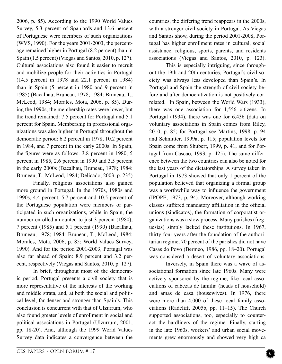2006, p. 85). According to the 1990 World Values Survey, 5.3 percent of Spaniards and 13.6 percent of Portuguese were members of such organizations (WVS, 1990). For the years 2001-2003, the percentage remained higher in Portugal (8.2 percent) than in Spain (1.5 percent) (Viegas and Santos, 2010, p. 127). Cultural associations also found it easier to recruit and mobilize people for their activities in Portugal (14.5 percent in 1978 and 22.1 percent in 1984) than in Spain (5 percent in 1980 and 9 percent in 1985) (Bacalhau, Bruneau, 1978; 1984: Bruneau, T., McLeod, 1984; Morales, Mota, 2006, p. 85). During the 1990s, the membership rates were lower, but the trend remained: 7.5 percent for Portugal and 5.1 percent for Spain. Membership in professional organizations was also higher in Portugal throughout the democratic period: 6.2 percent in 1978, 10.2 percent in 1984, and 7 percent in the early 2000s. In Spain, the figures were as follows: 3.8 percent in 1980, 5 percent in 1985, 2.6 percent in 1990 and 3.5 percent in the early 2000s (Bacalhau, Bruneau, 1978; 1984: Bruneau, T., McLeod, 1984; Delicado, 2003, p. 235)

Finally, religious associations also gained more ground in Portugal. In the 1970s, 1980s and 1990s, 4.4 percent, 5.7 percent and 10.5 percent of the Portuguese population were members or participated in such organizations, while in Spain, the number enrolled amounted to just 3 percent (1980), 7 percent (1985) and 5.1 percent (1990) (Bacalhau, Bruneau, 1978; 1984: Bruneau, T., McLeod, 1984; Morales, Mota, 2006, p. 85; World Values Survey, 1990). And for the period 2001-2003, Portugal was also far ahead of Spain: 8.9 percent and 3.2 percent, respectively (Viegas and Santos, 2010, p. 127).

In brief, throughout most of the democratic period, Portugal presents a civil society that is more representative of the interests of the working and middle strata, and, at both the social and political level, far denser and stronger than Spain's. This conclusion is concurrent with that of Ulzurrum, who also found greater levels of enrollment in social and political associations in Portugal (Ulzurrum, 2001, pp. 18-20). And, although the 1999 World Values Survey data indicates a convergence between the

countries, the differing trend reappears in the 2000s, with a stronger civil society in Portugal. As Viegas and Santos show, during the period 2001-2008, Portugal has higher enrollment rates in cultural, social assistance, religious, sports, parents, and residents associations (Viegas and Santos, 2010, p. 123).

This is especially intriguing, since throughout the 19th and 20th centuries, Portugal's civil society was always less developed than Spain's. In Portugal and Spain the strength of civil society before and after democratization is not positively correlated. In Spain, between the World Wars (1933), there was one association for 1,556 citizens. In Portugal (1934), there was one for 6,436 (data on voluntary associations in Spain comes from Riley, 2010, p. 85; for Portugal see Martins, 1998, p. 94 and Schmitter, 1999a, p. 115; population levels for Spain come from Shubert, 1999, p. 41, and for Portugal from Cascão, 1993, p. 425). The same difference between the two countries can also be noted for the last years of the dictatorships. A survey taken in Portugal in 1973 showed that only 1 percent of the population believed that organizing a formal group was a worthwhile way to influence the government (IPOPE, 1973, p. 94). Moreover, although working classes suffered mandatory affiliation in the official unions (sindicatos), the formation of corporatist organizations was a slow process. Many parishes (freguesias) simply lacked these institutions. In 1967, thirty-four years after the foundation of the authoritarian regime, 70 percent of the parishes did not have Casas do Povo (Bermeo, 1986, pp. 18–20). Portugal was considered a desert of voluntary associations.

Inversely, in Spain there was a wave of associational formation since late 1960s. Many were actively sponsored by the regime, like local associations of cabezas de familia (heads of household) and amas de casa (housewives). In 1976, there were more than 4,000 of these local family associations (Radcliff, 2005b, pp. 11–15). The Church supported associations, too, especially to counteract the hardliners of the regime. Finally, starting in the late 1960s, workers' and urban social movements grew enormously and showed very high ca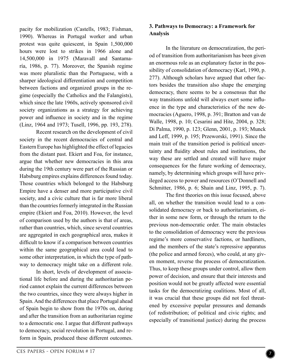pacity for mobilization (Castells, 1983; Fishman, 1990). Whereas in Portugal worker and urban protest was quite quiescent, in Spain 1,500,000 hours were lost to strikes in 1966 alone and 14,500,000 in 1975 (Maravall and Santamaría, 1986, p. 77). Moreover, the Spanish regime was more pluralistic than the Portuguese, with a sharper ideological differentiation and competition between factions and organized groups in the regime (especially the Catholics and the Falangists), which since the late 1960s, actively sponsored civil society organizations as a strategy for achieving power and influence in society and in the regime (Linz, 1964 and 1973; Tusell, 1996, pp. 193, 278).

Recent research on the development of civil society in the recent democracies of central and Eastern Europe has highlighted the effect of legacies from the distant past. Ekiert and Foa, for instance, argue that whether new democracies in this area during the 19th century were part of the Russian or Habsburg empires explains differences found today. Those countries which belonged to the Habsburg Empire have a denser and more participative civil society, and a civic culture that is far more liberal than the countries formerly integrated in the Russian empire (Ekiert and Foa, 2010). However, the level of comparison used by the authors is that of areas, rather than countries, which, since several countries are aggregated in each geographical area, makes it difficult to know if a comparison between countries within the same geographical area could lead to some other interpretation, in which the type of pathway to democracy might take on a different role.

In short, levels of development of associational life before and during the authoritarian period cannot explain the current differences between the two countries, since they were always higher in Spain. And the differences that place Portugal ahead of Spain begin to show from the 1970s on, during and after the transition from an authoritarian regime to a democratic one. I argue that different pathways to democracy, social revolution in Portugal, and reform in Spain, produced these different outcomes.

#### **3. Pathways to Democracy: a Framework for Analysis**

In the literature on democratization, the period of transition from authoritarianism has been given an enormous role as an explanatory factor in the possibility of consolidation of democracy (Karl, 1990, p. 277). Although scholars have argued that other factors besides the transition also shape the emerging democracy, there seems to be a consensus that the way transitions unfold will always exert some influence in the type and characteristics of the new democracies (Aguero, 1998, p. 391; Bratton and van de Walle, 1998, p. 10; Cesarini and Hite, 2004, p. 328; Di Palma, 1990, p. 123; Glenn, 2001, p. 193; Munck and Leff, 1999, p. 195; Przeworski, 1991). Since the main trait of the transition period is political uncertainty and fluidity about rules and institutions, the way these are settled and created will have major consequences for the future working of democracy, namely, by determining which groups will have privileged access to power and resources (O'Donnell and Schmitter, 1986, p. 6; Shain and Linz, 1995, p. 7).

The first theories on this issue focused, above all, on whether the transition would lead to a consolidated democracy or back to authoritarianism, either in some new form, or through the return to the previous non-democratic order. The main obstacles to the consolidation of democracy were the previous regime's more conservative factions, or hardliners, and the members of the state's repressive apparatus (the police and armed forces), who could, at any given moment, reverse the process of democratization. Thus, to keep these groups under control, allow them power of decision, and ensure that their interests and position would not be greatly affected were essential tasks for the democratizing coalitions. Most of all, it was crucial that these groups did not feel threatened by excessive popular pressures and demands (of redistribution; of political and civic rights; and especially of transitional justice) during the process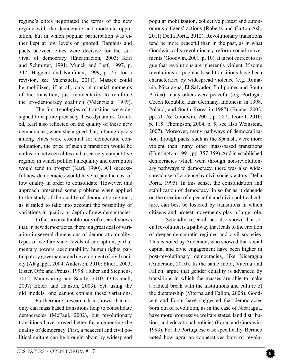regime's elites negotiated the terms of the new regime with the democratic and moderate opposition, but in which popular participation was either kept at low levels or ignored. Bargains and pacts between elites were decisive for the survival of democracy (Encarnacion, 2003; Karl and Schmitter, 1991; Munck and Leff, 1997, p. 347; Haggard and Kaufman, 1999, p. 75; for a revision, see Valenzuela, 2011). Masses could be mobilized, if at all, only in crucial moments of the transition, just momentarily to reinforce the pro-democracy coalition (Valenzuela, 1989).

The first typologies of transition were designed to capture precisely these dynamics. Granted, Karl also reflected on the quality of these new democracies, when she argued that, although pacts among elites were essential for democratic consolidation, the price of such a transition would be collusion between elites and a scarcely competitive regime, in which political inequality and corruption would tend to prosper (Karl, 1990). All successful new democracies would have to pay the cost of low quality in order to consolidate. However, this approach presented some problems when applied to the study of the quality of democratic regimes, as it failed to take into account the possibility of variations in quality or depth of new democracies.

In fact, a considerable body of research shows that, in new democracies, there is a great deal of variation in several dimensions of democratic quality: types of welfare-state, levels of corruption, parliamentary powers, accountability, human rights, participatory governance and development of civil society (Alagappa, 2004; Anderson, 2010; Ekiert, 2003; Elster, Offe and Preuss, 1998; Huber and Stephens, 2012; Mainwaring and Scully, 2010; O'Donnell, 2007; Ekiert and Hanson, 2003). Yet, using the old models, one cannot explain these variations.

Furthermore, research has shown that not only can mass based transitions help to consolidate democracies (McFaul, 2002), but revolutionary transitions have proved better for augmenting the quality of democracy. First, a peaceful and civil political culture can be brought about by widespread

omous citizens' actions (Roberts and Garton-Ash, 2011; Della Porta, 2012). Revolutionary transitions tend be more peaceful than in the past, as in what Goodwin calls revolutionary reform social movements (Goodwin, 2001, p. 10). It is not correct to argue that revolutions are inherently violent. If some revolutions or popular based transitions have been characterized by widespread violence (e.g. Romania, Nicaragua, El Salvador, Philippines and South Africa), many others were peaceful (e.g. Portugal, Czech Republic, East Germany, Indonesia in 1998, Poland, and South Korea in 1987) (Bunce, 2002, pp. 70-76; Goodwin, 2001, p. 287; Teorell, 2010; p. 115; Thompson, 2004, p. 5; see also Weinstein, 2007). Moreover, many pathways of democratization through pacts, such as the Spanish, were more violent than many other mass-based transitions (Huntington, 1991, pp. 357-359). And in established democracies which went through non-revolutionary pathways to democracy, there was also widespread use of violence by civil society actors (Della Porta, 1995). In this sense, the consolidation and stabilization of democracy, in so far as it depends on the creation of a peaceful and civic political culture, can best be fostered by transitions in which citizens and protest movements play a large role.

popular mobilization, collective protest and auton-

Secondly, research has also shown that social revolution is a pathway that leads to the creation of deeper democratic regimes and civil societies. This is noted by Anderson, who showed that social capital and civic engagement have been higher in post-revolutionary democracies, like Nicaragua (Anderson, 2010). In the same mold, Viterna and Fallon, argue that gender equality is advanced by transitions in which the masses are able to make a radical break with the institutions and culture of the dictatorship (Viterna and Fallon, 2008). Goodwin and Foran have suggested that democracies born out of revolution, as in the case of Nicaragua, have more progressive welfare states, land distribution, and educational policies (Foran and Goodwin, 1993). For the Portuguese case specifically, Bermeo noted how agrarian cooperatives born of revolu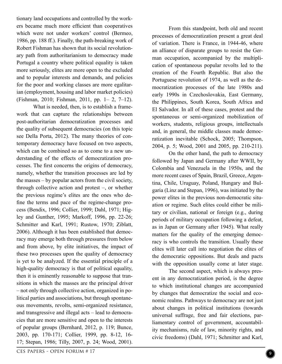tionary land occupations and controlled by the workers became much more efficient than cooperatives which were not under workers' control (Bermeo, 1986, pp. 188 ff.). Finally, the path-breaking work of Robert Fishman has shown that its social revolutionary path from authoritarianism to democracy made Portugal a country where political equality is taken more seriously, elites are more open to the excluded and to popular interests and demands, and policies for the poor and working classes are more egalitarian (employment, housing and labor market policies) (Fishman, 2010; Fishman, 2011, pp. 1– 2, 7–12).

What is needed, then, is to establish a framework that can capture the relationships between post-authoritarian democratization processes and the quality of subsequent democracies (on this topic see Della Porta, 2012). The many theories of contemporary democracy have focused on two aspects, which can be combined so as to come to a new understanding of the effects of democratization processes. The first concerns the origins of democracy, namely, whether the transition processes are led by the masses – by popular actors from the civil society, through collective action and protest –, or whether the previous regime's elites are the ones who define the terms and pace of the regime-change process (Bendix, 1996; Collier, 1999; Dahl, 1971; Higley and Gunther, 1995; Markoff, 1996, pp. 22-26; Schmitter and Karl, 1991; Rustow, 1970; Ziblatt, 2006). Although it has been established that democracy may emerge both through pressures from below and from above, by elite initiatives, the impact of these two processes upon the quality of democracy is yet to be analyzed. If the essential principle of a high-quality democracy is that of political equality, then it is eminently reasonable to suppose that transitions in which the masses are the principal driver – not only through collective action, organized in political parties and associations, but through spontaneous movements, revolts, semi-organized resistance, and transgressive and illegal acts – lead to democracies that are more sensitive and open to the interests of popular groups (Bernhard, 2012, p. 119; Bunce, 2003, pp. 170-171; Collier, 1999, pp. 8-12, 16- 17; Stepan, 1986; Tilly, 2007, p. 24; Wood, 2001).

From this standpoint, both old and recent processes of democratization present a great deal of variation. There is France, in 1944-46, where an alliance of disparate groups to resist the German occupation, accompanied by the multiplication of spontaneous popular revolts led to the creation of the Fourth Republic. But also the Portuguese revolution of 1974, as well as the democratization processes of the late 1980s and early 1990s in Czechoslovakia, East Germany, the Philippines, South Korea, South Africa and El Salvador. In all of these cases, protest and the spontaneous or semi-organized mobilization of workers, students, religious groups, intellectuals and, in general, the middle classes made democratization inevitable (Schock, 2005; Thompson, 2004, p. 5; Wood, 2001 and 2005, pp. 210-211).

On the other hand, the path to democracy followed by Japan and Germany after WWII, by Colombia and Venezuela in the 1950s, and the more recent cases of Spain, Brazil, Greece, Argentina, Chile, Uruguay, Poland, Hungary and Bulgaria (Linz and Stepan, 1996), was initiated by the power elites in the previous non-democratic situation or regime. Such elites could either be military or civilian, national or foreign (e.g., during periods of military occupation following a defeat, as in Japan or Germany after 1945). What really matters for the quality of the emerging democracy is who controls the transition. Usually these elites will later call into negotiation the elites of the democratic oppositions. But deals and pacts with the opposition usually come at later stage.

The second aspect, which is always present in any democratization period, is the degree to which institutional changes are accompanied by changes that democratize the social and economic realms. Pathways to democracy are not just about changes in political institutions (towards universal suffrage, free and fair elections, parliamentary control of government, accountability mechanisms, rule of law, minority rights, and civic freedoms) (Dahl, 1971; Schmitter and Karl,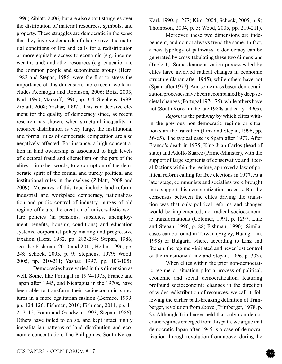1996; Ziblatt, 2006) but are also about struggles over the distribution of material resources, symbols, and property. These struggles are democratic in the sense that they involve demands of change over the material conditions of life and calls for a redistribution or more equitable access to economic (e.g. income, wealth, land) and other resources (e.g. education) to the common people and subordinate groups (Herz, 1982 and Stepan, 1986, were the first to stress the importance of this dimension; more recent work includes Acemoglu and Robinson, 2006; Boix, 2003; Karl, 1990; Markoff, 1996, pp. 3-4; Stephens, 1989; Ziblatt, 2008; Yashar, 1997). This is a decisive element for the quality of democracy since, as recent research has shown, when structural inequality in resource distribution is very large, the institutional and formal rules of democratic competition are also negatively affected. For instance, a high concentration in land ownership is associated to high levels of electoral fraud and clientelism on the part of the elites – in other words, to a corruption of the democratic spirit of the formal and purely political and institutional rules in themselves (Ziblatt, 2008 and 2009). Measures of this type include land reform, industrial and workplace democracy, nationalization and public control of industry, purges of old regime officials, the creation of universalistic welfare policies (in pensions, subsidies, unemployment benefits, housing conditions) and education systems, corporatist policy-making and progressive taxation (Herz, 1982, pp. 283-284; Stepan, 1986; see also Fishman, 2010 and 2011; Heller, 1996, pp. 2-8; Schock, 2005, p. 9; Stephens, 1979; Wood, 2005, pp. 210-211; Yashar, 1997, pp. 103-105). Democracies have varied in this dimension as

well. Some, like Portugal in 1974-1975, France and Japan after 1945, and Nicaragua in the 1970s, have been able to transform their socioeconomic structures in a more egalitarian fashion (Bermeo, 1999, pp. 124-126; Fishman, 2010; Fishman, 2011, pp. 1– 2, 7–12; Foran and Goodwin, 1993; Stepan, 1986). Others have failed to do so, and kept intact highly inegalitarian patterns of land distribution and economic concentration. The Philippines, South Korea,

Karl, 1990, p. 277; Kim, 2004; Schock, 2005, p. 9; Thompson, 2004, p. 5; Wood, 2005, pp. 210-211).

Moreover, these two dimensions are independent, and do not always trend the same. In fact, a new typology of pathways to democracy can be generated by cross-tabulating these two dimensions (Table 1). Some democratization processes led by elites have involved radical changes in economic structure (Japan after 1945), while others have not (Spain after 1977). And some mass based democratization processes have been accompanied by deep societal changes (Portugal 1974-75), while others have not (South Korea in the late 1980s and early 1990s).

*Reform* is the pathway by which elites within the previous non-democratic regime or situation start the transition (Linz and Stepan, 1996, pp. 56-65). The typical case is Spain after 1977. After Franco's death in 1975, King Juan Carlos (head of state) and Adolfo Suarez (Prime-Minister), with the support of large segments of conservative and liberal factions within the regime, approved a law of political reform calling for free elections in 1977. At a later stage, communists and socialists were brought in to support this democratization process. But the consensus between the elites driving the transition was that only political reforms and changes would be implemented, not radical socioeconomic transformations (Colomer, 1991, p. 1297; Linz and Stepan, 1996, p. 88; Fishman, 1990). Similar cases can be found in Taiwan (Higley, Huang, Lin, 1998) or Bulgaria where, according to Linz and Stepan, the regime «initiated and never lost control of the transition» (Linz and Stepan, 1996, p. 333).

When elites within the prior non-democratic regime or situation pilot a process of political, economic and social democratization, featuring profound socioeconomic changes in the direction of wider redistribution of resources, we call it, following the earlier path-breaking definition of Trimberger, revolution from above (Trimberger, 1978, p. 2). Although Trimberger held that only non-democratic regimes emerged from this path, we argue that democratic Japan after 1945 is a case of democratization through revolution from above: during the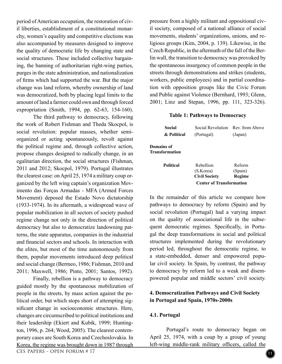period of American occupation, the restoration of civil liberties, establishment of a constitutional monarchy, women's equality and competitive elections was also accompanied by measures designed to improve the quality of democratic life by changing state and social structures. These included collective bargaining, the banning of authoritarian right-wing parties, purges in the state administration, and nationalization of firms which had supported the war. But the major change was land reform, whereby ownership of land was democratized, both by placing legal limits to the amount of land a farmer could own and through forced expropriation (Smith, 1994, pp. 62-63, 154-160).

The third pathway to democracy, following the work of Robert Fishman and Theda Skocpol, is social revolution: popular masses, whether semiorganized or acting spontaneously, revolt against the political regime and, through collective action, propose changes designed to radically change, in an egalitarian direction, the social structures (Fishman, 2011 and 2012; Skocpol, 1979). Portugal illustrates the clearest case: on April 25, 1974 a military coup organized by the left wing captain's organization Movimento das Forças Armadas - MFA (Armed Forces Movement) deposed the Estado Novo dictatorship (1933-1974). In its aftermath, a widespread wave of popular mobilization in all sectors of society pushed regime change not only in the direction of political democracy but also to democratize landowning patterns, the state apparatus, companies in the industrial and financial sectors and schools. In interaction with the elites, but most of the time autonomously from them, popular movements introduced deep political and social change (Bermeo, 1986; Fishman, 2010 and 2011; Maxwell, 1986; Pinto, 2001; Santos, 1992).

Finally, rebellion is a pathway to democracy guided mostly by the spontaneous mobilization of people in the streets, by mass action against the political order, but which stops short of attempting significant change in socioeconomic structures. Here, changes are circumscribed to political institutions and their leadership (Ekiert and Kubik, 1999; Huntington, 1996, p. 264; Wood, 2005). The clearest contemporary cases are South Korea and Czechoslovakia. In Korea, the regime was brought down in 1987 through pressure from a highly militant and oppositional civil society, composed of a national alliance of social movements, students' organizations, unions, and religious groups (Kim, 2004, p. 139). Likewise, in the Czech Republic, in the aftermath of the fall of the Berlin wall, the transition to democracy was provoked by the spontaneous insurgency of common people in the streets through demonstrations and strikes (students, workers, public employees) and in partial coordination with opposition groups like the Civic Forum and Public against Violence (Bernhard, 1993; Glenn, 2001; Linz and Stepan, 1996, pp. 111, 323-326).

#### **Table 1: Pathways to Democracy**

|                                     | <b>Center of Transformation</b>   |         |
|-------------------------------------|-----------------------------------|---------|
|                                     | <b>Civil Society</b>              | Regime  |
|                                     | (S.Korea)                         | (Spain) |
| <b>Political</b>                    | Rebellion                         | Reform  |
| Domains of<br><b>Transformation</b> |                                   |         |
| & Political                         | (Portugal)                        | (Japan) |
| Social                              | Social Revolution Rev. from Above |         |

In the remainder of this article we compare how pathways to democracy by reform (Spain) and by social revolution (Portugal) had a varying impact on the quality of associational life in the subsequent democratic regimes. Specifically, in Portugal the deep transformations in social and political structures implemented during the revolutionary period led, throughout the democratic regime, to a state-embedded, denser and empowered popular civil society. In Spain, by contrast, the pathway to democracy by reform led to a weak and disempowered popular and middle sectors' civil society.

#### **4. Democratization Pathways and Civil Society in Portugal and Spain, 1970s-2000s**

#### **4.1. Portugal**

Portugal's route to democracy began on April 25, 1974, with a coup by a group of young left-wing middle-rank military officers, called the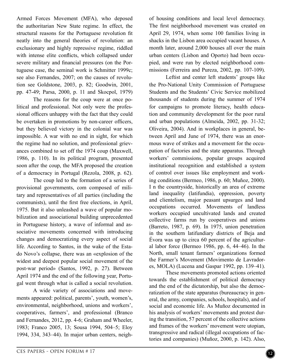Armed Forces Movement (MFA), who deposed the authoritarian New State regime. In effect, the structural reasons for the Portuguese revolution fit neatly into the general theories of revolution: an exclusionary and highly repressive regime, riddled with intense elite conflicts, which collapsed under severe military and financial pressures (on the Portuguese case, the seminal work is Schmitter 1999c; see also Fernandes, 2007; on the causes of revolution see Goldstone, 2003, p. 82; Goodwin, 2001, pp. 47-49; Parsa, 2000, p. 11 and Skocpol, 1979)

The reasons for the coup were at once political and professional. Not only were the professional officers unhappy with the fact that they could be overtaken in promotions by non-career officers, but they believed victory in the colonial war was impossible. A war with no end in sight, for which the regime had no solution, and professional grievances combined to set off the 1974 coup (Maxwell, 1986, p. 110). In its political program, presented soon after the coup, the MFA proposed the creation of a democracy in Portugal (Rezola, 2008, p. 62).

The coup led to the formation of a series of provisional governments, com composed of military and representatives of all parties (including the communists), until the first free elections, in April, 1975. But it also unleashed a wave of popular mobilization and associational building unprecedented in Portuguese history, a wave of informal and associative movements concerned with introducing changes and democratizing every aspect of social life. According to Santos, in the wake of the Estado Novo's collapse, there was an «explosion of the widest and deepest popular social movement of the post-war period» (Santos, 1992, p. 27). Between April 1974 and the end of the following year, Portugal went through what is called a social revolution.

A wide variety of associations and movements appeared: political, parents', youth, women's, environmental, neighborhood, unions and workers', cooperatives, farmers', and professional (Branco and Fernandes, 2012, pp. 4-6; Graham and Wheeler, 1983; Franco 2005, 13; Sousa 1994, 504–5; Eloy 1994, 334, 343–44). In major urban centers, neighof housing conditions and local level democracy. The first neighborhood movement was created on April 29, 1974, when some 100 families living in shacks in the Lisbon area occupied vacant houses. A month later, around 2,000 houses all over the main urban centers (Lisbon and Oporto) had been occupied, and were run by elected neighborhood commissions (Ferreira and Pureza, 2002, pp. 107-109).

Leftist and center left students' groups like the Pro-National Unity Commission of Portuguese Students and the Students' Civic Service mobilized thousands of students during the summer of 1974 for campaigns to promote literacy, health education and community development for the poor rural and urban populations (Almeida, 2002, pp. 31-32; Oliveira, 2004). And in workplaces in general, between April and June of 1974, there was an enormous wave of strikes and a movement for the occupation of factories and the state apparatus. Through workers' commissions, popular groups acquired institutional recognition and established a system of control over issues like employment and working conditions (Bermeo, 1986, p. 60; Muñoz, 2000). I n the countryside, historically an area of extreme land inequality (latifundia), oppression, poverty and clientelism, major peasant upsurges and land occupations occurred. Movements of landless workers occupied uncultivated lands and created collective farms run by cooperatives and unions (Barreto, 1987, p. 69). In 1975, union penetration in the southern latifundiary districts of Beja and Évora was up to circa 60 percent of the agricultural labor force (Bermeo 1986, pp. 6, 44–46). In the North, small tenant farmers' organizations formed the Farmer's Movement (Movimento de Lavradores, MOLA) (Lucena and Gaspar 1992, pp. 139–41).

These movements promoted actions oriented towards the establishment of political democracy and the end of the dictatorship, but also the democratization of the state apparatus (bureaucracy in general, the army, companies, schools, hospitals), and of social and economic life. As Muñoz documented in his analysis of workers' movements and protest during the transition, 57 percent of the collective actions and frames of the workers' movement were utopian, transgressive and radical (illegal occupations of factories and companies) (Muñoz, 2000, p. 142). Also,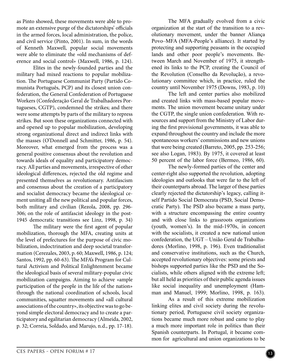as Pinto showed, these movements were able to promote an extensive purge of the dictatorships' officials in the armed forces, local administration, the police, and civil service (Pinto, 2001). In sum, in the words of Kenneth Maxwell, popular social movements were able to eliminate the «old mechanisms of deference and social control» (Maxwell, 1986, p. 124).

Elites in the newly-founded parties and the military had mixed reactions to popular mobilization. The Portuguese Communist Party (Partido Comunista Português, PCP) and its closest union confederation, the General Confederation of Portuguese Workers (Confederação Geral de Trabalhadores Portugueses, CGTP), condemned the strikes; and there were some attempts by parts of the military to repress strikes. But soon these organizations connected with and opened up to popular mobilization, developing strong organizational direct and indirect links with the masses (O'Donnell and Schmitter, 1986, p. 54). Moreover, what emerged from the process was a general positive consensus about the revolution and towards ideals of equality and participatory democracy. All parties and movements, irrespective of other ideological differences, rejected the old regime and presented themselves as revolutionary. Antifascism and consensus about the creation of a participatory and socialist democracy became the ideological cement uniting all the new political and popular forces, both military and civilian (Rezola, 2008, pp. 296- 306; on the role of antifascist ideology in the post-1945 democratic transitions see Linz, 1998, p. 34)

The military were the first agent of popular mobilization, thorough the MFA, creating units at the level of prefectures for the purpose of civic mobilization, indoctrination and deep societal transformation (Cerezales, 2003, p. 60; Maxwell, 1986, p. 124; Santos, 1992, pp. 60-63). The MFA's Program for Cultural Activism and Political Enlightenment became the ideological basis of several military-popular civic mobilization campaigns. Aiming to achieve «ample participation of the people in the life of the nation» through the national coordination of schools, local communities, squatter movements and «all cultural associations of the country», its objective was to go beyond simple electoral democracy and to create a participatory and egalitarian democracy (Almeida, 2002, p. 32; Correia, Soldado, and Marujo, n.d., pp. 17-18).

The MFA gradually evolved from a civic organization at the start of the transition to a revolutionary movement, under the banner Aliança Povo–MFA (MFA-People's alliance). It started by protecting and supporting peasants in the occupied lands and other poor people's movements. Between March and November of 1975, it strengthened its links to the PCP, creating the Council of the Revolution (Conselho da Revolução), a revolutionary committee which, in practice, ruled the country until November 1975 (Downs, 1983, p. 10)

The left and center parties also mobilized and created links with mass-based popular movements. The union movement became unitary under the CGTP, the single union confederation. With resources and support from the Ministry of Labor during the first provisional governments, it was able to expand throughout the country and include the more spontaneous workers' commissions and new unions that were being created (Barreto, 2005, pp. 253-256; see also Logan, 1983). By 1975, it covered at least 50 percent of the labor force (Bermeo, 1986, 60).

The newly-formed parties of the center and center-right also supported the revolution, adopting ideologies and outlooks that were far to the left of their counterparts abroad. The larger of these parties clearly rejected the dictatorship's legacy, calling itself Partido Social Democrata (PSD, Social Democratic Party). The PSD also became a mass party, with a structure encompassing the entire country and with close links to grassroots organizations (youth, women's). In the mid-1970s, in concert with the socialists, it created a new national union confederation, the UGT – União Geral de Trabalhadores (Morlino, 1998, p. 196). Even traditionalist and conservative institutions, such as the Church, accepted revolutionary objectives: some priests and bishops supported parties like the PSD and the Socialists, while others aligned with the extreme left; but all held as priorities of their public agenda issues like social inequality and unemployment (Hamman and Manuel, 1999; Morlino, 1998, p. 163).

As a result of this extreme mobilization linking elites and civil society during the revolutionary period, Portuguese civil society organizations became much more robust and came to play a much more important role in politics than their Spanish counterparts. In Portugal, it became common for agricultural and union organizations to be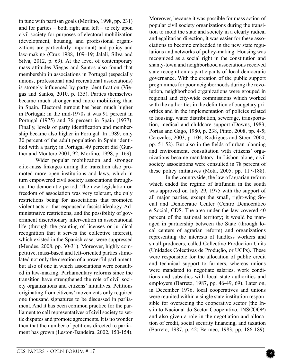in tune with partisan goals (Morlino, 1998, pp. 231) and for parties – both right and left – to rely upon civil society for purposes of electoral mobilization (development, housing, and professional organizations are particularly important) and policy and law-making (Cruz 1988, 109–19; Jalali, Silva and Silva, 2012, p. 69). At the level of contemporary mass attitudes Viegas and Santos also found that membership in associations in Portugal (especially unions, professional and recreational associations) is strongly influenced by party identification (Viegas and Santos, 2010, p. 135). Parties themselves became much stronger and more mobilizing than in Spain. Electoral turnout has been much higher in Portugal: in the mid-1970s it was 91 percent in Portugal (1975) and 76 percent in Spain (1977). Finally, levels of party identification and membership became also higher in Portugal. In 1989, only 30 percent of the adult population in Spain identified with a party; in Portugal 49 percent did (Gunther and Montero 2001, 92; Morlino, 1998, p. 169).

Wider popular mobilization and stronger elite-mass linkages during the transition also promoted more open institutions and laws, which in turn empowered civil society associations throughout the democratic period. The new legislation on freedom of association was very tolerant, the only restrictions being for associations that promoted violent acts or that espoused a fascist ideology. Administrative restrictions, and the possibility of government discretionary intervention in associational life (through the granting of licenses or juridical recognition that it serves the collective interest), which existed in the Spanish case, were suppressed (Mendes, 2008, pp. 30-31). Moreover, highly competitive, mass-based and left-oriented parties stimulated not only the creation of a powerful parliament, but also of one in which associations were consulted in law-making. Parliamentary reforms since the transition have strengthened the role of civil society organizations and citizens' initiatives. Petitions originating from citizens' movements only required one thousand signatures to be discussed in parliament. And it has been common practice for the parliament to call representatives of civil society to settle disputes and promote agreements. It is no wonder then that the number of petitions directed to parliament has grown (Leston-Bandeira, 2002, 150-154).

Moreover, because it was possible for mass action of popular civil society organizations during the transition to mold the state and society in a clearly radical and egalitarian direction, it was easier for these associations to become embedded in the new state regulations and networks of policy-making. Housing was recognized as a social right in the constitution and shanty-town and neighborhood associations received state recognition as participants of local democratic governance. With the creation of the public support programmes for poor neighborhoods during the revolution, neighborhood organizations were grouped in regional and city-wide commissions which worked with the authorities in the definition of budgetary priorities and in the implementation of policies related to housing, water distribution, sewerage, transportation, medical and childcare support (Downs, 1983; Portas and Gago, 1980, p. 238, Pinto, 2008, pp. 4-5; Cerezales, 2003, p. 104; Rodrigues and Stoer, 2000, pp. 51-52). But also in the fields of urban planning and environment, consultation with citizens' organizations became mandatory. In Lisbon alone, civil society associations were consulted in 78 percent of these policy initiatives (Mota, 2005, pp. 117-188).

In the countryside, the law of agrarian reform which ended the regime of latifundia in the south was approved on July 29, 1975 with the support of all major parties, except the small, right-wing Social and Democratic Center (Centro Democrático e Social, CDS. The area under the law covered 40 percent of the national territory; it would be managed in partnership between the State (through local centers of agrarian reform) and organizations representing the interests of landless workers and small producers, called Collective Production Units (Unidades Colectivas de Produção, or UCPs). These were responsible for the allocation of public credit and technical support to farmers, whereas unions were mandated to negotiate salaries, work conditions and subsidies with local state authorities and employers (Barreto, 1987, pp. 46-49, 69). Later on, in December 1976, local cooperatives and unions were reunited within a single state institution responsible for overseeing the cooperative sector (the Instituto Nacional do Sector Cooperativo, INSCOOP) and also given a role in the negotiation and allocation of credit, social security financing, and taxation (Barreto, 1987, p. 42; Bermeo, 1983, pp. 186-189).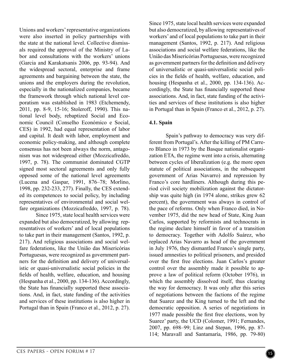Unions and workers' representative organizations were also inserted in policy partnerships with the state at the national level. Collective dismissals required the approval of the Ministry of Labor and consultations with the workers' unions (Garcia and Karakatsanis 2006, pp. 93-94). And the widespread sectoral, enterprise and frame agreements and bargaining between the state, the unions and the employers during the revolution, especially in the nationalized companies, became the framework through which national level corporatism was established in 1983 (Etchemendy, 2011, pp. 8-9, 15-16; Stoleroff, 1990). This national level body, rebaptized Social and Economic Council (Conselho Económico e Social, CES) in 1992, had equal representation of labor and capital. It dealt with labor, employment and economic policy-making, and although complete consensus has not been always the norm, antagonism was not widespread either (Mozzicafreddo, 1997, p. 78). The communist dominated CGTP signed most sectoral agreements and only fully opposed some of the national level agreements (Lucena and Gaspar, 1991, 876–78; Morlino, 1998, pp. 232-233, 277). Finally, the CES extended its competences to social policy, by including representatives of environmental and social welfare organizations (Mozzicafreddo, 1997, p. 78).

Since 1975, state local health services were expanded but also democratized, by allowing representatives of workers' and of local populations to take part in their management (Santos, 1992, p. 217). And religious associations and social welfare federations, like the União das Misericórias Portuguesas, were recognized as government partners for the definition and delivery of universalistic or quasi-universalistic social policies in the fields of health, welfare, education, and housing (Hespanha et al., 2000, pp. 134-136). Accordingly, the State has financially supported these associations. And, in fact, state funding of the activities and services of these institutions is also higher in Portugal than in Spain (Franco et al., 2012, p. 27).

Since 1975, state local health services were expanded but also democratized, by allowing representatives of workers' and of local populations to take part in their management (Santos, 1992, p. 217). And religious associations and social welfare federations, like the União das Misericórias Portuguesas, were recognized as government partners for the definition and delivery of universalistic or quasi-universalistic social policies in the fields of health, welfare, education, and housing (Hespanha et al., 2000, pp. 134-136). Accordingly, the State has financially supported these associations. And, in fact, state funding of the activities and services of these institutions is also higher in Portugal than in Spain (Franco et al., 2012, p. 27).

#### **4.1. Spain**

Spain's pathway to democracy was very different from Portugal's. After the killing of PM Carrero Blanco in 1973 by the Basque nationalist organization ETA, the regime went into a crisis, alternating between cycles of liberalization (e.g. the more open statute of political associations, in the subsequent government of Arias Navarro) and repression by Franco's core hardliners. Although during this period civil society mobilization against the dictatorship was quite high (in 1974 alone, strikes grew 62 percent), the government was always in control of the pace of reforms. Only when Franco died, in November 1975, did the new head of State, King Juan Carlos, supported by reformists and technocrats in the regime declare himself in favor of a transition to democracy. Together with Adolfo Suárez, who replaced Arias Navarro as head of the government in July 1976, they dismantled Franco's single party, issued amnesties to political prisoners, and presided over the first free elections. Juan Carlos's greater control over the assembly made it possible to approve a law of political reform (October 1976), in which the assembly dissolved itself, thus clearing the way for democracy. It was only after this series of negotiations between the factions of the regime that Suarez and the King turned to the left and the democratic opposition. A series of negotiations in 1977 made possible the first free elections, won by Suarez' party, the UCD (Colomer, 1991; Fernandes, 2007, pp. 698–99; Linz and Stepan, 1996, pp. 87- 114; Maravall and Santamaría, 1986, pp. 79-80)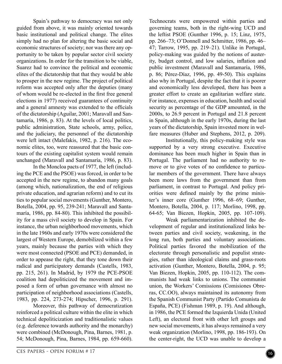Spain's pathway to democracy was not only guided from above, it was mainly oriented towards basic institutional and political change. The elites simply had no plan for altering the basic social and economic structures of society; nor was there any opportunity to be taken by popular sector civil society organizations. In order for the transition to be viable, Suarez had to convince the political and economic elites of the dictatorship that that they would be able to prosper in the new regime. The project of political reform was accepted only after the deputies (many of whom would be re-elected in the first free general elections in 1977) received guarantees of continuity and a general amnesty was extended to the officials of the dictatorship (Aguilar, 2001; Maravall and Santamaría, 1986, p. 83). At the levels of local politics, public administration, State schools, army, police, and the judiciary, the personnel of the dictatorship were left intact (Malefakis, 1982, p. 216). The economic elites, too, were reassured that the basic contours of the existing capitalist system would remain unchanged (Maravall and Santamaría, 1986, p. 83).

In the Moncloa pacts of 1977, the left (including the PCE and the PSOE) was forced, in order to be accepted in the new regime, to abandon many goals (among which, nationalization, the end of religious private education, and agrarian reform) and to cut its ties to popular social movements (Gunther, Montero, Botella, 2004, pp. 95, 239-241; Maravall and Santamaría, 1986, pp. 84-80). This inhibited the possibility for a mass civil society to develop in Spain. For instance, the urban neighborhood movements, which in the late 1960s and early 1970s were considered the largest of Western Europe, demobilized within a few years, mainly because the parties with which they were most connected (PSOE and PCE) demanded, in order to appease the right, that they tone down their radical and participatory demands (Castells, 1983, pp. 215, 261). In Madrid, by 1979 the PCE-PSOE coalition had depoliticized the movement and imposed a form of urban governance with almost no participation of neighborhood associations (Castells, 1983, pp. 224, 273-274; Hipscher, 1996, p. 291).

Moreover, this pathway of democratization reinforced a political culture within the elite in which technical depoliticization and traditionalistic values (e.g. deference towards authority and the monarchy) were combined (McDonough, Pina, Barnes, 1981, p. 54; McDonough, Pina, Barnes, 1984, pp. 659-660).

Technocrats were empowered within parties and governing teams, both in the right-wing UCD and the leftist PSOE (Gunther 1996, p. 15; Linz, 1975, pp. 266–73; O'Donnell and Schmitter, 1986, pp. 46– 47; Tarrow, 1995, pp. 219–21). Unlike in Portugal, policy-making was guided by the notions of austerity, budget control, and low salaries, inflation and public investment (Maravall and Santamaría, 1986, p. 86; Pérez-Díaz, 1996, pp. 49-50). This explains also why in Portugal, despite the fact that it is poorer and economically less developed, there has been a greater effort to create an egalitarian welfare state. For instance, expenses in education, health and social security as percentage of the GDP amounted, in the 2000s, to 26.9 percent in Portugal and 21.8 percent in Spain, although in the early 1970s, during the last years of the dictatorship, Spain invested more in welfare measures (Huber and Stephens, 2012, p. 209).

Institutionally, this policy-making style was supported by a very strong executive. Executive dominance has been much higher in Spain than in Portugal. The parliament had no authority to remove or to give votes of no confidence to particular members of the government. There have always been more laws from the government than from parliament, in contrast to Portugal. And policy priorities were defined mainly by the prime minister's inner core (Gunther 1996, 68–69; Gunther, Montero, Botella, 2004, p. 117; Morlino, 1998, pp. 64-65; Van Biezen, Hopkin, 2005, pp. 107-109).

Weak parliamentarization inhibited the development of regular and institutionalized links between parties and civil society, weakening, in the long run, both parties and voluntary associations. Political parties favored the mobilization of the electorate through personalistic and populist strategies, rather than ideological claims and grass-roots activation (Gunther, Montero, Botella, 2004, p. 95; Van Biezen, Hopkin, 2005, pp. 110-112). The communists had weak links to unions. The communist union, the Workers' Comissions (Comisiones Obreras, CC.OO), always maintained its autonomy from the Spanish Communist Party (Partido Comunista de España, PCE) (Fishman 1989, p. 19). And although, in 1986, the PCE formed the Izquierda Unida (United Left), an electoral front with other left groups and new social movements, it has always remained a very weak organization (Morlino, 1998, pp. 186-193). On the center-right, the UCD was unable to develop a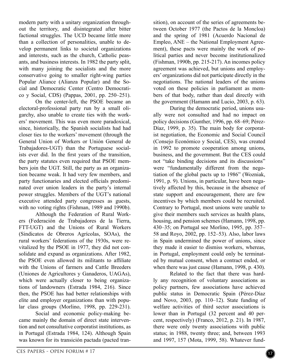modern party with a unitary organization throughout the territory, and disintegrated after bitter factional struggles. The UCD became little more than a collection of personalities, unable to develop permanent links to societal organizations and interests, such as the church, Catholic peasants, and business interests. In 1982 the party split, with many joining the socialists and the more conservative going to smaller right-wing parties Popular Aliance (Alianza Popular) and the Social and Democratic Center (Centro Democratico y Social, CDS) (Pappas, 2001, pp. 250–251).

On the center-left, the PSOE became an electoral-professional party run by a small oligarchy, also unable to create ties with the workers' movement. This was even more paradoxical, since, historically, the Spanish socialists had had closer ties to the workers' movement (through the General Union of Workers or Unión General de Trabajadores-UGT) than the Portuguese socialists ever did. In the first years of the transition, the party statutes even required that PSOE members join the UGT. Still, the party as an organization became weak. It had very few members, and party functionaries and elected officials predominated over union leaders in the party's internal power struggles. Members of the UGT's national executive attended party congresses as guests, with no voting rights (Fishman, 1989 and 1990b).

Although the Federation of Rural Workers (Federación de Trabajadores de la Tierra, FTT-UGT) and the Unions of Rural Workers (Sindicatos de Obreros Agrícolas, SOAs), the rural workers' federations of the 1930s, were revitalized by the PSOE in 1977, they did not consolidate and expand as organizations. After 1982, the PSOE even allowed its militants to affiliate with the Unions of farmers and Cattle Breeders (Uniones de Agricultores y Ganaderos, UAGAs), which were actually closer to being organizations of landowners (Estrada 1984, 216). Since then, the PSOE has had better relationships with elite and employer organizations than with popular class groups (Morlino, 1998, pp. 229-231).

Social and economic policy-making became mainly the domain of direct state intervention and not consultative corporatist institutions, as in Portugal (Estrada 1984, 124). Although Spain was known for its transición pactada (pacted transition), on account of the series of agreements between October 1977 (the Pactos de la Moncloa) and the spring of 1981 (Acuerdo Nacional de Empleo, ANE – the National Employment Agreement), these pacts were mainly the work of political parties and never become institutionalized (Fishman, 1990b, pp. 215-217). An incomes policy agreement was achieved, but unions and employers' organizations did not participate directly in the negotiations. The national leaders of the unions voted on these policies in parliament as members of that body, rather than deal directly with the government (Hamann and Lucio, 2003, p. 63).

During the democratic period, unions usually were not consulted and had no impact on policy decisions (Gunther, 1996, pp. 68–69; Pérez-Díaz, 1999, p. 35). The main body for corporatist negotiation, the Economic and Social Council (Consejo Económico y Social, CES), was created in 1992 to promote cooperation among unions, business, and the government. But the CES could not "take binding decisions and its discussions" were "fundamentally different from the negotiation of the global pacts up to 1986" (Wozniak, 1991, p. 9). Unions, in particular, have been negatively affected by this, because in the absence of state support and encouragement, there are few incentives by which members could be recruited. Contrary to Portugal, most unions were unable to give their members such services as health plans, housing, and pension schemes (Hamann, 1998, pp. 430–35; on Portugal see Morlino, 1995, pp. 357– 58 and Royo, 2002, pp. 152–53). Also, labor laws in Spain undermined the power of unions, since they made it easier to dismiss workers, whereas, in Portugal, employment could only be terminated by mutual consent, when a contract ended, or when there was just cause (Hamann, 1998, p. 430).

Related to the fact that there was hardly any recognition of voluntary associations as policy partners, few associations have achieved public status in Democratic Spain (Pérez-Díaz and Novo, 2003, pp. 110–12). State funding of welfare activities of third sector associations is lower than in Portugal (32 percent and 40 percent, respectively) (Franco, 2012, p. 21). In 1987, there were only twenty associations with public status; in 1988, twenty three; and, between 1993 and 1997, 157 (Mota, 1999, 58). Whatever fund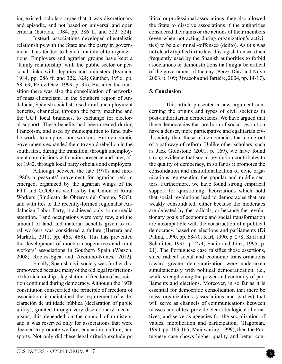ing existed, scholars agree that it was discretionary and episodic, and not based on universal and open criteria (Estrada, 1984, pp. 286 ff. and 322, 324).

Instead, associations developed clientelistic relationships with the State and the party in government. This tended to benefit mainly elite organizations. Employers and agrarian groups have kept a 'family relationship' with the public sector or personal links with deputies and ministers (Estrada, 1984, pp. 286 ff. and 322, 324; Gunther, 1996, pp. 68–69; Pérez-Díaz, 1999, p. 35). But after the transition there was also the consolidation of networks of mass clientelism. In the Southern region of Andalucía, Spanish socialists used rural unemployment benefits, channeled through the party machine and the UGT local branches, to exchange for electoral support. These benefits had been created during Francoism, and used by municipalities to fund public works to employ rural workers. But democratic governments expanded them to avoid rebellion in the south, first, during the transition, through unemployment commissions with union presence and later, after 1982, through local party officials and employers.

Although between the late 1970s and mid-1980s a peasants' movement for agrarian reform emerged, organized by the agrarian wings of the FTT and CCOO as well as by the Union of Rural Workers (Sindicato de Obreros del Campo, SOC), and with ties to the recently-formed regionalist Andalucian Labor Party, it achieved only some media attention. Land occupations were very few, and the amount of land and material benefits given to rural workers was considered a failure (Herrera and Markoff, 2011, pp. 465, 468). This has prevented the development of modern cooperatives and rural workers' associations in Southern Spain (Watson, 2008; Robles-Egea and Aceituno-Nunes, 2012).

Finally, Spanish civil society was further disempowered because many of the old legal restrictions of the dictatorship's legislation of freedom of association continued during democracy. Although the 1978 constitution consecrated the principle of freedom of association, it maintained the requirement of a declaración de utilidade pública (declaration of public utility), granted through very discretionary mechanisms; this depended on the council of ministers, and it was reserved only for associations that were deemed to promote welfare, education, culture, and sports. Not only did these legal criteria exclude po

litical or professional associations, they also allowed the State to dissolve associations if the authorities considered their aims or the actions of their members (even when not acting during organization's activities) to be a criminal «offense» (delito). As this was not clearly typified in the law, this legislation was then frequently used by the Spanish authorities to forbid associations or demonstrations that might be critical of the government of the day (Pérez-Díaz and Novo 2003, p. 109; Rivacoba and Tartière, 2004, pp. 14-17).

#### **5. Conclusion**

This article presented a new argument concerning the origins and types of civil societies in post-authoritarian democracies. We have argued that those democracies that are born of social revolution have a denser, more participative and egalitarian civil society than those of democracies that come out of a pathway of reform. Unlike other scholars, such as Jack Goldstone (2001, p. 169), we have found strong evidence that social revolution contributes to the quality of democracy, in so far as it promotes the consolidation and institutionalization of civic organizations representing the popular and middle sectors. Furthermore, we have found strong empirical support for questioning theorizations which hold that social revolutions lead to democracies that are weakly consolidated, either because the moderates are defeated by the radicals, or because the revolutionary goals of economic and social transformation are incompatible with the construction of a political democracy, based on elections and parliaments (Di Palma, 1990, pp. 68-70; Karl, 1990, p. 278; Karl and Schmitter, 1991, p. 274; Shain and Linz, 1995, p. 21). The Portuguese case falsifies those assertions, since radical social and economic transformations toward greater democratization were undertaken simultaneously with political democratization, i.e., while strengthening the power and centrality of parliaments and elections. Moreover, in so far as it is essential for democratic consolidation that there be mass organizations (associations and parties) that will serve as channels of communications between masses and elites, provide clear ideological alternatives, and serve as agencies for the socialization of values, mobilization and participation, (Hagopian, 1990, pp. 163-165; Mainwaring, 1999), then the Portuguese case shows higher quality and better con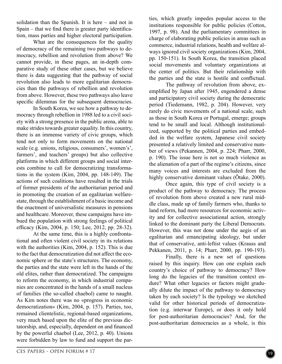solidation than the Spanish. It is here – and not in Spain – that we find there is greater party identification, mass parties and higher electoral participation.

What are the consequences for the quality of democracy of the remaining two pathways to democracy, rebellion and revolution from above? We cannot provide, in these pages, an in-depth comparative study of these other cases, but we believe there is data suggesting that the pathway of social revolution also leads to more egalitarian democracies than the pathways of rebellion and revolution from above. However, these two pathways also leave specific dilemmas for the subsequent democracies.

In South Korea, we see how a pathway to democracy through rebellion in 1988 led to a civil society with a strong presence in the public arena, able to make strides towards greater equality. In this country, there is an immense variety of civic groups, which tend not only to form movements on the national scale (e.g. unions, religious, consumers', women's', farmers', and teachers' groups) but also collective platforms in which different groups and social interests combine to call for democratizing transformations in the system (Kim, 2004, pp. 148-149). The actions of such coalitions have resulted in the trials of former presidents of the authoritarian period and in promoting the creation of an egalitarian welfarestate, through the establishment of a basic income and the enactment of universalistic measures in pensions and healthcare. Moreover, these campaigns have imbued the population with strong feelings of political efficacy (Kim, 2004, p. 150; Lee, 2012, pp. 28-32).

At the same time, this is a highly confrontational and often violent civil society in its relations with the authorities (Kim, 2004, p. 152). This is due to the fact that democratization did not affect the economic sphere or the state's structures. The economy, the parties and the state were left in the hands of the old elites, rather than democratized. The campaigns to reform the economy, in which industrial companies are concentrated in the hands of a small nucleus of families (the so-called chaebol) came to naught. As Kim notes there was no «progress in economic democratization» (Kim, 2004, p. 157). Parties, too, remained clientelistic, regional-based organizations, very much based upon the elite of the previous dictatorship, and, especially, dependent on and financed by the powerful chaebol (Lee, 2012, p. 40). Unions were forbidden by law to fund and support the parties, which greatly impedes popular access to the institutions responsible for public policies (Cotton, 1997, p. 98). And the parliamentary committees in charge of elaborating public policies in areas such as commerce, industrial relations, health and welfare always ignored civil society organizations (Kim, 2004, pp. 150-151). In South Korea, the transition placed social movements and voluntary organizations at the center of politics. But their relationship with the parties and the state is hostile and conflictual.

The pathway of revolution from above, exemplified by Japan after 1945, engendered a dense and participatory civil society during the democratic period (Tiedemann, 1982, p. 204). However, very rarely do civic movements of a national scale, such as those in South Korea or Portugal, emerge; groups tend to be small and local. Although institutionalized, supported by the political parties and embedded in the welfare system, Japanese civil society presented a relatively limited and conservative number of views (Pekannen, 2004, p. 224; Pharr, 2000, p. 190). The issue here is not so much violence as the alienation of a part of the regime's citizens, since many voices and interests are excluded from the highly conservative dominant values (Õtake, 2000).

Once again, this type of civil society is a product of the pathway to democracy. The process of revolution from above created a new rural middle class, made up of family farmers who, thanks to land reform, had more resources for economic activity and for collective associational action, strongly linked to the dominant party the Liberal Democrats. However, this was not done under the aegis of an egalitarian and emancipating ideology, but under that of conservative, anti-leftist values (Krauss and Pekkanen, 2011, p. 14; Pharr, 2000, pp. 190-193).

Finally, there is a new set of questions raised by this inquiry. How can one explain each country's choice of pathway to democracy? How long do the legacies of the transition context endure? What other legacies or factors might gradually dilute the impact of the pathway to democracy taken by each society? Is the typology we sketched valid for other historical periods of democratization (e.g. interwar Europe), or does it only hold for post-authoritarian democracies? And, for the post-authoritarian democracies as a whole, is this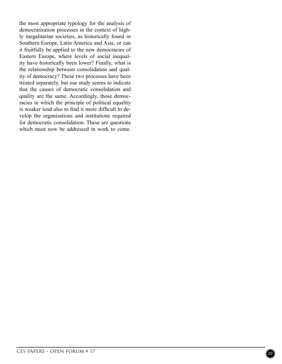the most appropriate typology for the analysis of democratization processes in the context of highly inegalitarian societies, as historically found in Southern Europe, Latin America and Asia, or can it fruitfully be applied to the new democracies of Eastern Europe, where levels of social inequality have historically been lower? Finally, what is the relationship between consolidation and quality of democracy? These two processes have been treated separately, but our study seems to indicate that the causes of democratic consolidation and quality are the same. Accordingly, those democracies in which the principle of political equality is weaker tend also to find it more difficult to develop the organizations and institutions required for democratic consolidation. These are questions which must now be addressed in work to come.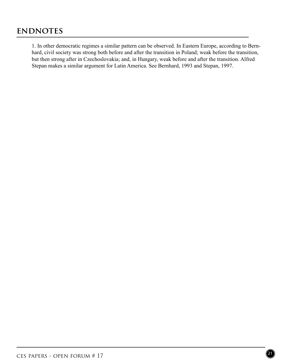### **ENDNOTES**

1. In other democratic regimes a similar pattern can be observed. In Eastern Europe, according to Bernhard, civil society was strong both before and after the transition in Poland; weak before the transition, but then strong after in Czechoslovakia; and, in Hungary, weak before and after the transition. Alfred Stepan makes a similar argument for Latin America. See Bernhard, 1993 and Stepan, 1997.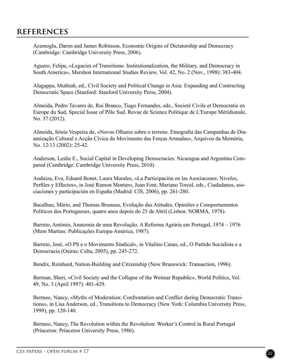Acemoglu, Daron and James Robinson, Economic Origins of Dictatorship and Democracy (Cambridge: Cambridge University Press, 2006).

Aguero, Felipe, «Legacies of Transitions: Institutionalization, the Military, and Democracy in South America», Mershon International Studies Review, Vol. 42, No. 2 (Nov., 1998): 383-404.

Alagappa, Muthiah, ed., Civil Society and Political Change in Asia: Expanding and Contracting Democratic Space (Stanford: Stanford University Press, 2004).

Almeida, Pedro Tavares de, Rui Branco, Tiago Fernandes, eds., Societé Civile et Democratie en Europe du Sud, Special Issue of Pôle Sud. Revue de Science Politique de L'Europe Méridionale, No. 37 (2012).

Almeida, Sónia Vespeira de, «Novos Olhares sobre o terreno. Etnografia das Campanhas de Dinamização Cultural e Acção Cívica do Movimento das Forças Armadas», Arquivos da Memória, No. 12/13 (2002): 25-42.

Anderson, Leslie E., Social Capital in Developing Democracies. Nicaragua and Argentina Compared (Cambridge: Cambridge University Press, 2010).

Anduiza, Eva, Eduard Bonet, Laura Morales, «La Participación en las Asociacones: Niveles, Perfiles y Effectos», in José Ramon Montero, Joan Font, Mariano Torcal, eds., Ciudadanos, asociaciones y participación en España (Madrid: CIS, 2006), pp. 261-280.

Bacalhau, Mário, and Thomas Bruneau, Evolução das Atitudes, Opiniões e Comportamentos Políticos dos Portugueses, quatro anos depois do 25 de Abril (Lisboa: NORMA, 1978).

Barreto, António, Anatomia de uma Revolução. A Reforma Agrária em Portugal, 1974 – 1976 (Mem Martins: Publicações Europa-América, 1987).

Barreto, José, «O PS e o Movimento Sindical», in Vitalino Canas, ed., O Partido Socialista e a Democracia (Oeiras: Celta, 2005), pp. 245-272.

Bendix, Reinhard, Nation-Building and Citizenship (New Brunswick: Transaction, 1996).

Berman, Sheri, «Civil Society and the Collapse of the Weimar Republic», World Politics, Vol. 49, No. 3 (April 1997): 401-429.

Bermeo, Nancy, «Myths of Moderation: Confrontation and Conflict during Democratic Transitions», in Lisa Anderson, ed., Transitions to Democracy (New York: Columbia University Press, 1999), pp. 120-140.

Bermeo, Nancy, The Revolution within the Revolution: Worker's Control in Rural Portugal (Princeton: Princeton University Press, 1986).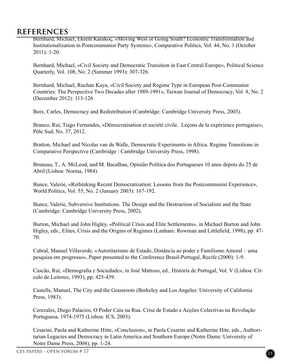Bernhard, Michael, Ekrem Karakoç, «Moving West or Going South? Economic Transformation and Institutionalization in Postcommunist Party Systems», Comparative Politics, Vol. 44, No. 1 (October 2011): 1-20.

Bernhard, Michael, «Civil Society and Democratic Transition in East Central Europe», Political Science Quarterly, Vol. 108, No. 2 (Summer 1993): 307-326.

Bernhard, Michael, Ruchan Kaya, «Civil Society and Regime Type in European Post-Communist Countries: The Perspective Two Decades after 1989-1991», Taiwan Journal of Democracy, Vol. 8, No. 2 (December 2012): 113-126

Boix, Carles, Democracy and Redistribution (Cambridge: Cambridge University Press, 2003).

Branco, Rui, Tiago Fernandes, «Démocratisation et société civile. Leçons de la expérience portugaise», Pôle Sud, No. 37, 2012.

Bratton, Michael and Nicolas van de Walle, Democratic Experiments in Africa. Regime Transitions in Comparative Perspective (Cambridge : Cambridge University Press, 1998).

Bruneau, T., A. McLeod, and M. Bacalhau, Opinião Política dos Portugueses 10 anos depois do 25 de Abril (Lisboa: Norma, 1984).

Bunce, Valerie, «Rethinking Recent Democratization: Lessons from the Postcommunist Experience», World Politics, Vol. 55, No. 2 (January 2003): 167-192.

Bunce, Valerie, Subversive Institutions. The Design and the Destruction of Socialism and the State (Cambridge: Cambridge University Press, 2002).

Burton, Michael and John Higley, «Political Crisis and Elite Settlements», in Michael Burton and John Higley, eds., Elites, Crisis and the Origins of Regimes (Lanham: Rowman and Littlefield, 1998), pp. 47- 70.

Cabral, Manuel Villaverde, «Autoritarismo de Estado, Distância ao poder e Familismo Amoral – uma pesquisa em progresso», Paper presented to the Conference Brasil-Portugal, Recife (2000): 1-9.

Cascão, Rui, «Demografia e Sociedade», in José Mattoso, ed., História de Portugal, Vol. V (Lisboa: Círculo de Leitores, 1993), pp. 425-439.

Castells, Manuel, The City and the Grassroots (Berkeley and Los Angeles: University of California Press, 1983).

Cerezales, Diego Palacios, O Poder Caiu na Rua. Crise de Estado e Acções Colectivas na Revolução Portuguesa, 1974-1975 (Lisboa: ICS, 2003).

Cesarini, Paola and Katherine Hitte, «Conclusion», in Paola Cesarini and Katherine Hite, eds., Authoritarian Legacies and Democracy in Latin America and Southern Europe (Notre Dame: University of Notre Dame Press, 2004), pp. 1-24.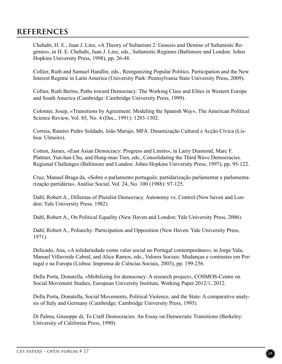Chehabi, H. E., Juan J. Linz, «A Theory of Sultanism 2: Genesis and Demise of Sultanistic Regimes», in H. E. Chehabi, Juan J. Linz, eds., Sultanistic Regimes (Baltimore and London: Johns Hopkins University Press, 1998), pp. 26-48.

Collier, Ruth and Samuel Handlin, eds., Reorganizing Popular Politics. Participation and the New Interest Regime in Latin America (University Park: Pennsylvania State University Press, 2009).

Collier, Ruth Berins, Paths toward Democracy: The Working Class and Elites in Western Europe and South America (Cambridge: Cambridge University Press, 1999).

Colomer, Josep, «Transitions by Agreement: Modeling the Spanish Way», The American Political Science Review, Vol. 85, No. 4 (Dec., 1991): 1283-1302.

Correia, Ramiro Pedro Soldado, João Marujo, MFA. Dinamização Cultural e Acção Cívica (Lisboa: Ulmeiro).

Cotton, James, «East Asian Democracy: Progress and Limits», in Larry Diamond, Marc F. Plattner, Yun-han Chu, and Hung-mao Tien, eds., Consolidating the Third Wave Democracies. Regional Challenges (Baltimore and London: Johns Hopkins University Press, 1997), pp. 95-122.

Cruz, Manuel Braga da, «Sobre o parlamento português: partidarização parlamentar e parlamentarização partidária», Análise Social, Vol. 24, No. 100 (1988): 97-125.

Dahl, Robert A., Dillemas of Pluralist Democracy. Autonomy vs. Control (New haven and London: Yale University Press, 1982).

Dahl, Robert A., On Political Equality (New Haven and London: Yale University Press, 2006).

Dahl, Robert A., Poliarchy: Participation and Opposition (New Haven: Yale University Press, 1971).

Delicado, Ana, «A solidariedade como valor social no Portugal contemporâneo», in Jorge Vala, Manuel Villaverde Cabral, and Alice Ramos, eds., Valores Sociais: Mudanças e contrastes em Portugal e na Europa (Lisboa: Imprensa de Ciências Sociais, 2003), pp. 199-256.

Della Porta, Donatella, «Mobilizing for democracy: A research project», COSMOS-Centre on Social Movement Studies, European University Institute, Working Paper 2012/1, 2012.

Della Porta, Donatella, Social Movements, Political Violence, and the State. A comparative analysis of Italy and Germany (Cambridge: Cambridge University Press, 1995).

Di Palma, Giuseppe di, To Craft Democracies. An Essay on Democratic Transitions (Berkeley: University of California Press, 1990).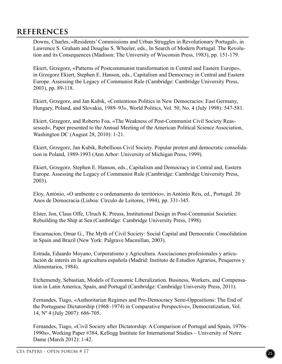Downs, Charles, «Residents' Commissions and Urban Struggles in Revolutionary Portugal», in Lawrence S. Graham and Douglas S. Wheeler, eds., In Search of Modern Portugal. The Revolution and its Consequences (Madison: The University of Wisconsin Press, 1983), pp. 151-179.

Ekiert, Grzegorz, «Patterns of Postcommunist transformation in Central and Eastern Europe», in Grzegorz Ekiert, Stephen E. Hanson, eds., Capitalism and Democracy in Central and Eastern Europe. Assessing the Legacy of Communist Rule (Cambridge: Cambridge University Press, 2003), pp. 89-118.

Ekiert, Grzegorz, and Jan Kubik, «Contentious Politics in New Democracies: East Germany, Hungary, Poland, and Slovakia, 1989–93», World Politics, Vol. 50, No. 4 (July 1998): 547-581.

Ekiert, Grzegorz, and Roberto Foa, «The Weakness of Post-Communist Civil Society Reassessed», Paper presented to the Annual Meeting of the American Political Science Association, Washington DC (August 28, 2010): 1-21.

Ekiert, Grzegorz, Jan Kubik, Rebellious Civil Society. Popular protest and democratic consolidation in Poland, 1989-1993 (Ann Arbor: University of Michigan Press, 1999).

Ekiert, Grzegorz, Stephen E. Hanson, eds., Capitalism and Democracy in Central and, Eastern Europe. Assessing the Legacy of Communist Rule (Cambridge: Cambridge University Press, 2003).

Eloy, António, «O ambiente e o ordenamento do território», in António Reis, ed., Portugal. 20 Anos de Democracia (Lisboa: Círculo de Leitores, 1994), pp. 331-345.

Elster, Jon, Claus Offe, Ulruch K. Preuss, Institutional Design in Post-Communist Societies: Rebuilding the Ship at Sea (Cambridge: Cambridge University Press, 1998).

Encarnacion, Omar G., The Myth of Civil Society: Social Capital and Democratic Consolidation in Spain and Brazil (New York: Palgrave Macmillan, 2003).

Estrada, Eduardo Moyano, Corporatismo y Agricultura. Asociaciones profesionales y articulación de interés en la agricultura española (Madrid: Instituto de Estudios Agrarios, Pesqueros y Alimentarios, 1984).

Etchemendy, Sebastian, Models of Economic Liberalization. Business, Workers, and Compensation in Latin America, Spain, and Portugal (Cambridge: Cambridge University Press, 2011).

Fernandes, Tiago, «Authoritarian Regimes and Pro-Democracy Semi-Oppositions: The End of the Portuguese Dictatorship (1968–1974) in Comparative Perspective», Democratization, Vol. 14, Nº 4 (July 2007): 686-705.

Fernandes, Tiago, «Civil Society after Dictatorship: A Comparison of Portugal and Spain, 1970s– 1990s», Working Paper #384, Kellogg Institute for International Studies – University of Notre Dame (March 2012): 1-42.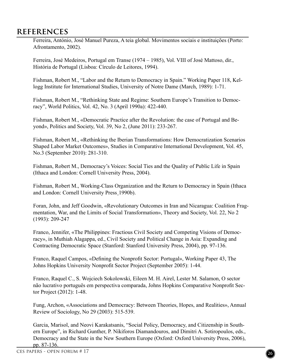Ferreira, António, José Manuel Pureza, A teia global. Movimentos sociais e instituições (Porto: Afrontamento, 2002).

Ferreira, José Medeiros, Portugal em Transe (1974 – 1985), Vol. VIII of José Mattoso, dir., História de Portugal (Lisboa: Círculo de Leitores, 1994).

Fishman, Robert M., "Labor and the Return to Democracy in Spain." Working Paper 118, Kellogg Institute for International Studies, University of Notre Dame (March, 1989): 1-71.

Fishman, Robert M., "Rethinking State and Regime: Southern Europe's Transition to Democracy", World Politics, Vol. 42, No. 3 (April 1990a): 422-440.

Fishman, Robert M., «Democratic Practice after the Revolution: the case of Portugal and Beyond», Politics and Society, Vol. 39, No 2, (June 2011): 233-267.

Fishman, Robert M., «Rethinking the Iberian Transformations: How Democratization Scenarios Shaped Labor Market Outcomes», Studies in Comparative International Development, Vol. 45, No.3 (September 2010): 281-310.

Fishman, Robert M., Democracy's Voices: Social Ties and the Quality of Public Life in Spain (Ithaca and London: Cornell University Press, 2004).

Fishman, Robert M., Working-Class Organization and the Return to Democracy in Spain (Ithaca and London: Cornell University Press¸1990b).

Foran, John, and Jeff Goodwin, «Revolutionary Outcomes in Iran and Nicaragua: Coalition Fragmentation, War, and the Limits of Social Transformation», Theory and Society, Vol. 22, No 2 (1993): 209-247

Franco, Jennifer, «The Philippines: Fractious Civil Society and Competing Visions of Democracy», in Muthiah Alagappa, ed., Civil Society and Political Change in Asia: Expanding and Contracting Democratic Space (Stanford: Stanford University Press, 2004), pp. 97-136.

Franco, Raquel Campos, «Defining the Nonprofit Sector: Portugal», Working Paper 43, The Johns Hopkins University Nonprofit Sector Project (September 2005): 1-44.

Franco, Raquel C., S. Wojciech Sokolowski, Eileen M. H. Airel, Lester M. Salamon, O sector não lucrativo português em perspectiva comparada, Johns Hopkins Comparative Nonprofit Sector Project (2012): 1-48.

Fung, Archon, «Associations and Democracy: Between Theories, Hopes, and Realities», Annual Review of Sociology, No 29 (2003): 515-539.

Garcia, Marisol, and Neovi Karakatsanis, "Social Policy, Democracy, and Citizenship in Southern Europe", in Richard Gunther, P. Nikiforos Diamandouros, and Dimitri A. Sotiropoulos, eds., Democracy and the State in the New Southern Europe (Oxford: Oxford University Press, 2006), pp. 87-136.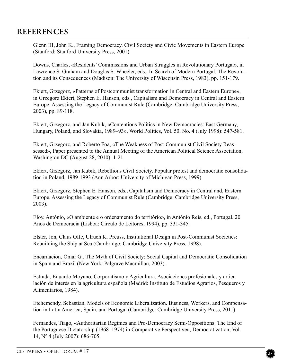Glenn III, John K., Framing Democracy. Civil Society and Civic Movements in Eastern Europe (Stanford: Stanford University Press, 2001).

Downs, Charles, «Residents' Commissions and Urban Struggles in Revolutionary Portugal», in Lawrence S. Graham and Douglas S. Wheeler, eds., In Search of Modern Portugal. The Revolution and its Consequences (Madison: The University of Wisconsin Press, 1983), pp. 151-179.

Ekiert, Grzegorz, «Patterns of Postcommunist transformation in Central and Eastern Europe», in Grzegorz Ekiert, Stephen E. Hanson, eds., Capitalism and Democracy in Central and Eastern Europe. Assessing the Legacy of Communist Rule (Cambridge: Cambridge University Press, 2003), pp. 89-118.

Ekiert, Grzegorz, and Jan Kubik, «Contentious Politics in New Democracies: East Germany, Hungary, Poland, and Slovakia, 1989–93», World Politics, Vol. 50, No. 4 (July 1998): 547-581.

Ekiert, Grzegorz, and Roberto Foa, «The Weakness of Post-Communist Civil Society Reassessed», Paper presented to the Annual Meeting of the American Political Science Association, Washington DC (August 28, 2010): 1-21.

Ekiert, Grzegorz, Jan Kubik, Rebellious Civil Society. Popular protest and democratic consolidation in Poland, 1989-1993 (Ann Arbor: University of Michigan Press, 1999).

Ekiert, Grzegorz, Stephen E. Hanson, eds., Capitalism and Democracy in Central and, Eastern Europe. Assessing the Legacy of Communist Rule (Cambridge: Cambridge University Press, 2003).

Eloy, António, «O ambiente e o ordenamento do território», in António Reis, ed., Portugal. 20 Anos de Democracia (Lisboa: Círculo de Leitores, 1994), pp. 331-345.

Elster, Jon, Claus Offe, Ulruch K. Preuss, Institutional Design in Post-Communist Societies: Rebuilding the Ship at Sea (Cambridge: Cambridge University Press, 1998).

Encarnacion, Omar G., The Myth of Civil Society: Social Capital and Democratic Consolidation in Spain and Brazil (New York: Palgrave Macmillan, 2003).

Estrada, Eduardo Moyano, Corporatismo y Agricultura. Asociaciones profesionales y articulación de interés en la agricultura española (Madrid: Instituto de Estudios Agrarios, Pesqueros y Alimentarios, 1984).

Etchemendy, Sebastian, Models of Economic Liberalization. Business, Workers, and Compensation in Latin America, Spain, and Portugal (Cambridge: Cambridge University Press, 2011)

Fernandes, Tiago, «Authoritarian Regimes and Pro-Democracy Semi-Oppositions: The End of the Portuguese Dictatorship (1968–1974) in Comparative Perspective», Democratization, Vol. 14, Nº 4 (July 2007): 686-705.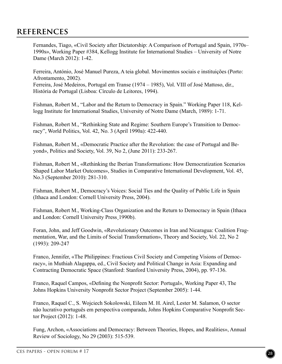Fernandes, Tiago, «Civil Society after Dictatorship: A Comparison of Portugal and Spain, 1970s– 1990s», Working Paper #384, Kellogg Institute for International Studies – University of Notre Dame (March 2012): 1-42.

Ferreira, António, José Manuel Pureza, A teia global. Movimentos sociais e instituições (Porto: Afrontamento, 2002). Ferreira, José Medeiros, Portugal em Transe (1974 – 1985), Vol. VIII of José Mattoso, dir.,

História de Portugal (Lisboa: Círculo de Leitores, 1994).

Fishman, Robert M., "Labor and the Return to Democracy in Spain." Working Paper 118, Kellogg Institute for International Studies, University of Notre Dame (March, 1989): 1-71.

Fishman, Robert M., "Rethinking State and Regime: Southern Europe's Transition to Democracy", World Politics, Vol. 42, No. 3 (April 1990a): 422-440.

Fishman, Robert M., «Democratic Practice after the Revolution: the case of Portugal and Beyond», Politics and Society, Vol. 39, No 2, (June 2011): 233-267.

Fishman, Robert M., «Rethinking the Iberian Transformations: How Democratization Scenarios Shaped Labor Market Outcomes», Studies in Comparative International Development, Vol. 45, No.3 (September 2010): 281-310.

Fishman, Robert M., Democracy's Voices: Social Ties and the Quality of Public Life in Spain (Ithaca and London: Cornell University Press, 2004).

Fishman, Robert M., Working-Class Organization and the Return to Democracy in Spain (Ithaca and London: Cornell University Press¸1990b).

Foran, John, and Jeff Goodwin, «Revolutionary Outcomes in Iran and Nicaragua: Coalition Fragmentation, War, and the Limits of Social Transformation», Theory and Society, Vol. 22, No 2 (1993): 209-247

Franco, Jennifer, «The Philippines: Fractious Civil Society and Competing Visions of Democracy», in Muthiah Alagappa, ed., Civil Society and Political Change in Asia: Expanding and Contracting Democratic Space (Stanford: Stanford University Press, 2004), pp. 97-136.

Franco, Raquel Campos, «Defining the Nonprofit Sector: Portugal», Working Paper 43, The Johns Hopkins University Nonprofit Sector Project (September 2005): 1-44.

Franco, Raquel C., S. Wojciech Sokolowski, Eileen M. H. Airel, Lester M. Salamon, O sector não lucrativo português em perspectiva comparada, Johns Hopkins Comparative Nonprofit Sector Project (2012): 1-48.

Fung, Archon, «Associations and Democracy: Between Theories, Hopes, and Realities», Annual Review of Sociology, No 29 (2003): 515-539.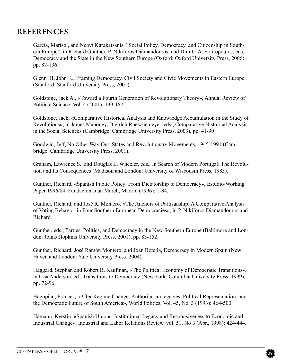Garcia, Marisol, and Neovi Karakatsanis, "Social Policy, Democracy, and Citizenship in Southern Europe", in Richard Gunther, P. Nikiforos Diamandouros, and Dimitri A. Sotiropoulos, eds., Democracy and the State in the New Southern Europe (Oxford: Oxford University Press, 2006), pp. 87-136.

Glenn III, John K., Framing Democracy. Civil Society and Civic Movements in Eastern Europe (Stanford: Stanford University Press, 2001).

Goldstone, Jack A., «Toward a Fourth Generation of Revolutionary Theory», Annual Review of Political Science, Vol. 4 (2001): 139-187.

Goldstone, Jack, «Comparative Historical Analysis and Knowledge Accumulation in the Study of Revolutions», in James Mahoney, Dietrich Rueschemeyer, eds., Comparative Historical Analysis in the Social Sciences (Cambridge: Cambridge University Press, 2003), pp. 41-90

Goodwin, Jeff, No Other Way Out. States and Revolutionary Movements, 1945-1991 (Cambridge: Cambridge University Press, 2001).

Graham, Lawrence S., and Douglas L. Wheeler, eds., In Search of Modern Portugal: The Revolution and Its Consequences (Madison and London: University of Wisconsin Press, 1983).

Gunther, Richard, «Spanish Public Policy: From Dictatorship to Democracy», Estudio/Working Paper 1996/84, Fundación Juan March, Madrid (1996): 1-84.

Gunther, Richard, and José R. Montero, «The Anchors of Partisanship: A Comparative Analysis of Voting Behavior in Four Southern European Democracies», in P. Nikiforos Diamandouros and Richard

Gunther, eds., Parties, Politics, and Democracy in the New Southern Europe (Baltimore and London: Johns Hopkins University Press, 2001), pp. 83-152.

Gunther, Richard, José Ramón Montero, and Joan Botella, Democracy in Modern Spain (New Haven and London: Yale University Press, 2004).

Haggard, Stephan and Robert R. Kaufman, «The Political Economy of Democratic Transitions», in Lisa Anderson, ed., Transitions to Democracy (New York: Columbia University Press, 1999), pp. 72-96.

Hagopian, Frances, «After Regime Change: Authoritarian legacies, Political Representation, and the Democratic Future of South America», World Politics, Vol. 45, No. 3 (1993): 464-500.

Hamann, Kerstin, «Spanish Unions: Institutional Legacy and Responsiveness to Economic and Industrial Change», Industrial and Labor Relations Review, vol. 51, No 3 (Apr., 1998): 424-444.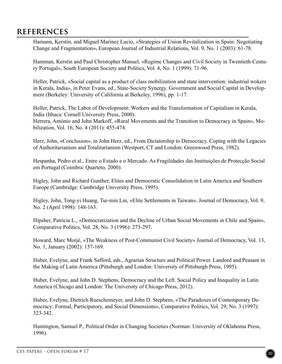Hamann, Kerstin, and Miguel Marínez Lucio, «Strategies of Union Revitalization in Spain: Negotiating Change and Fragmentation», European Journal of Industrial Relations, Vol. 9, No. 1 (2003): 61-78.

Hamman, Kerstin and Paul Christopher Manuel, «Regime Changes and Civil Society in Twentieth-Century Portugal», South European Society and Politics, Vol. 4, No. 1 (1999): 71-96.

Heller, Patrick, «Social capital as a product of class mobilization and state intervention: industrial wokers in Kerala, India», in Peter Evans, ed., State-Society Synergy. Government and Social Capital in Development (Berkeley: University of California at Berkeley, 1996), pp. 1-17.

Heller, Patrick, The Labor of Development: Workers and the Transformation of Capitalism in Kerala, India (Ithaca: Cornell University Press, 2000).

Herrera, António and John Markoff, «Rural Movements and the Transition to Democracy in Spain», Mobilization, Vol. 16, No. 4 (2011): 455-474.

Herz, John, «Conclusion», in John Herz, ed., From Dictatorship to Democracy. Coping with the Legacies of Authoritarianism and Totalitarianism (Westport, CT and London: Greenwood Press, 1982).

Hespanha, Pedro et al., Entre o Estado e o Mercado. As Fragilidades das Instituições de Protecção Social em Portugal (Coimbra: Quarteto, 2000).

Higley, John and Richard Gunther, Elites and Democratic Consolidation in Latin America and Southern Europe (Cambridge: Cambridge University Press, 1995).

Higley, John, Tong-yi Huang, Tse-min Lin, «Elite Settlements in Taiwan», Journal of Democracy, Vol. 9, No. 2 (April 1998): 148-163.

Hipsher, Patricia L., «Democratization and the Decline of Urban Social Movements in Chile and Spain», Comparative Politics, Vol. 28, No. 3 (1996): 273-297.

Howard, Marc Morjé, «The Weakness of Post-Communist Civil Society» Journal of Democracy, Vol. 13, No. 1, January (2002): 157-169.

Huber, Evelyne, and Frank Safford, eds., Agrarian Structure and Political Power. Landord and Peasant in the Making of Latin America (Pittsburgh and London: University of Pittsburgh Press, 1995).

Huber, Evelyne, and John D. Stephens, Democracy and the Left. Social Policy and Inequality in Latin America (Chicago and London: The University of Chicago Press, 2012).

Huber, Evelyne, Dietrich Rueschemeyer, and John D. Stephens, «The Paradoxes of Contemporary Democracy: Formal, Participatory, and Social Dimensions», Comparative Politics, Vol. 29, No. 3 (1997): 323-342.

Huntington, Samuel P., Political Order in Changing Societies (Norman: University of Oklahoma Press, 1996).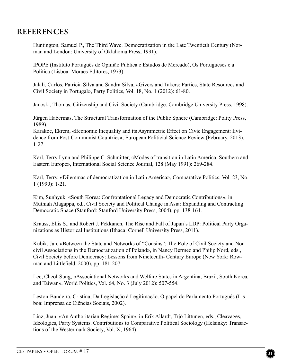Huntington, Samuel P., The Third Wave. Democratization in the Late Twentieth Century (Norman and London: University of Oklahoma Press, 1991).

IPOPE (Instituto Português de Opinião Pública e Estudos de Mercado), Os Portugueses e a Política (Lisboa: Moraes Editores, 1973).

Jalali, Carlos, Patrícia Silva and Sandra Silva, «Givers and Takers: Parties, State Resources and Civil Society in Portugal», Party Politics, Vol. 18, No. 1 (2012): 61-80.

Janoski, Thomas, Citizenship and Civil Society (Cambridge: Cambridge University Press, 1998).

Jürgen Habermas, The Structural Transformation of the Public Sphere (Cambridge: Polity Press, 1989).

Karakoc, Ekrem, «Economic Inequality and its Asymmetric Effect on Civic Engagement: Evidence from Post-Communist Countries», European Politicial Science Review (February, 2013): 1-27.

Karl, Terry Lynn and Philippe C. Schmitter, «Modes of transition in Latin America, Southern and Eastern Europe», International Social Science Journal, 128 (May 1991): 269-284.

Karl, Terry, «Dilemmas of democratization in Latin America», Comparative Politics, Vol. 23, No. 1 (1990): 1-21.

Kim, Sunhyuk, «South Korea: Confrontational Legacy and Democratic Contributions», in Muthiah Alagappa, ed., Civil Society and Political Change in Asia: Expanding and Contracting Democratic Space (Stanford: Stanford University Press, 2004), pp. 138-164.

Krauss, Ellis S., and Robert J. Pekkanen, The Rise and Fall of Japan's LDP: Political Party Organizations as Historical Institutions (Ithaca: Cornell University Press, 2011).

Kubik, Jan, «Between the State and Networks of "Cousins": The Role of Civil Society and Noncivil Associations in the Democratization of Poland», in Nancy Bermeo and Philip Nord, eds., Civil Society before Democracy: Lessons from Nineteenth- Century Europe (New York: Rowman and Littlefield, 2000), pp. 181-207.

Lee, Cheol-Sung, «Associational Networks and Welfare States in Argentina, Brazil, South Korea, and Taiwan», World Politics, Vol. 64, No. 3 (July 2012): 507-554.

Leston-Bandeira, Cristina, Da Legislação à Legitimação. O papel do Parlamento Português (Lisboa: Imprensa de Ciências Sociais, 2002).

Linz, Juan, «An Authoritarian Regime: Spain», in Erik Allardt, Trjö Littunen, eds., Cleavages, Ideologies, Party Systems. Contributions to Comparative Political Sociology (Helsinky: Transactions of the Westermark Society, Vol. X, 1964).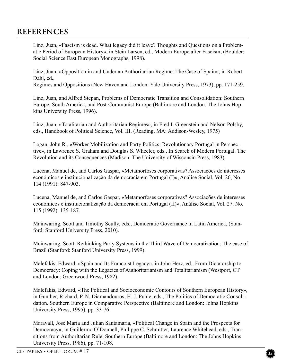Linz, Juan, «Fascism is dead. What legacy did it leave? Thoughts and Questions on a Problematic Period of European History», in Stein Larsen, ed., Modern Europe after Fascism, (Boulder: Social Science East European Monographs, 1998).

Linz, Juan, «Opposition in and Under an Authoritarian Regime: The Case of Spain», in Robert Dahl, ed.,

Regimes and Oppositions (New Haven and London: Yale University Press, 1973), pp. 171-259.

Linz, Juan, and Alfred Stepan, Problems of Democratic Transition and Consolidation: Southern Europe, South America, and Post-Communist Europe (Baltimore and London: The Johns Hopkins University Press, 1996).

Linz, Juan, «Totalitarian and Authoritarian Regimes», in Fred I. Greenstein and Nelson Polsby, eds., Handbook of Political Science, Vol. III. (Reading, MA: Addison-Wesley, 1975)

Logan, John R., «Worker Mobilization and Party Politics: Revolutionary Portugal in Perspective», in Lawrence S. Graham and Douglas S. Wheeler, eds., In Search of Modern Portugal. The Revolution and its Consequences (Madison: The University of Wisconsin Press, 1983).

Lucena, Manuel de, and Carlos Gaspar, «Metamorfoses corporativas? Associações de interesses económicos e institucionalização da democracia em Portugal (I)», Análise Social, Vol. 26, No. 114 (1991): 847-903.

Lucena, Manuel de, and Carlos Gaspar, «Metamorfoses corporativas? Associações de interesses económicos e institucionalização da democracia em Portugal (II)», Análise Social, Vol. 27, No. 115 (1992): 135-187.

Mainwaring, Scott and Timothy Scully, eds., Democratic Governance in Latin America, (Stanford: Stanford University Press, 2010).

Mainwaring, Scott, Rethinking Party Systems in the Third Wave of Democratization: The case of Brazil (Stanford: Stanford University Press, 1999).

Malefakis, Edward, «Spain and Its Francoist Legacy», in John Herz, ed., From Dictatorship to Democracy: Coping with the Legacies of Authoritarianism and Totalitarianism (Westport, CT and London: Greenwood Press, 1982).

Malefakis, Edward, «The Political and Socioeconomic Contours of Southern European History», in Gunther, Richard, P. N. Diamandouros, H. J. Puhle, eds., The Politics of Democratic Consolidation. Southern Europe in Comparative Perspective (Baltimore and London: Johns Hopkins University Press, 1995), pp. 33-76.

Maravall, José Maria and Julian Santamaría, «Political Change in Spain and the Prospects for Democracy», in Guillermo O'Donnell, Philippe C. Schmitter, Laurence Whitehead, eds., Transitions from Authoritarian Rule. Southern Europe (Baltimore and London: The Johns Hopkins University Press, 1986), pp. 71-108.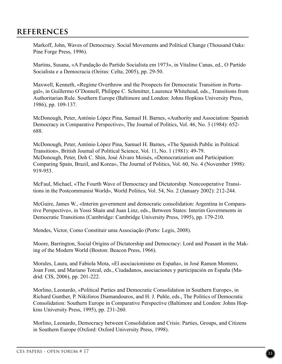Markoff, John, Waves of Democracy. Social Movements and Political Change (Thousand Oaks: Pine Forge Press, 1996).

Martins, Susana, «A Fundação do Partido Socialista em 1973», in Vitalino Canas, ed., O Partido Socialista e a Democracia (Oeiras: Celta, 2005), pp. 29-50.

Maxwell, Kenneth, «Regime Overthrow and the Prospects for Democratic Transition in Portugal», in Guillermo O'Donnell, Philippe C. Schmitter, Laurence Whitehead, eds., Transitions from Authoritarian Rule. Southern Europe (Baltimore and London: Johns Hopkins University Press, 1986), pp. 109-137.

McDonough, Peter, António López Pina, Samuel H. Barnes, «Authority and Association: Spanish Democracy in Comparative Perspective», The Journal of Politics, Vol. 46, No. 3 (1984): 652- 688.

McDonough, Peter, António López Pina, Samuel H. Barnes, «The Spanish Public in Political Transition», British Journal of Political Science, Vol. 11, No. 1 (1981): 49-79. McDonough, Peter, Doh C. Shin, José Álvaro Moisés, «Democratization and Participation: Comparing Spain, Brazil, and Korea», The Journal of Politics, Vol. 60, No. 4 (November 1998): 919-953.

McFaul, Michael, «The Fourth Wave of Democracy and Dictatorship. Noncooperative Transitions in the Postcommunist World», World Politics, Vol. 54, No. 2 (January 2002): 212-244.

McGuire, James W., «Interim government and democratic consolidation: Argentina in Comparative Perspective», in Yossi Shain and Juan Linz, eds., Between States: Interim Governments in Democratic Transitions (Cambridge: Cambridge University Press, 1995), pp. 179-210.

Mendes, Victor, Como Constituir uma Associação (Porto: Legis, 2008).

Moore, Barrington, Social Origins of Dictatorship and Democracy: Lord and Peasant in the Making of the Modern World (Boston: Beacon Press, 1966).

Morales, Laura, and Fabiola Mota, «El asociacionismo en España», in José Ramon Montero, Joan Font, and Mariano Torcal, eds., Ciudadanos, asociaciones y participación en España (Madrid: CIS, 2006), pp. 201-222.

Morlino, Leonardo, «Political Parties and Democratic Consolidation in Southern Europe», in Richard Gunther, P. Nikiforos Diamandouros, and H. J. Puhle, eds., The Politics of Democratic Consolidation: Southern Europe in Comparative Perspective (Baltimore and London: Johns Hopkins University Press, 1995), pp. 231-260.

Morlino, Leonardo, Democracy between Consolidation and Crisis: Parties, Groups, and Citizens in Southern Europe (Oxford: Oxford University Press, 1998).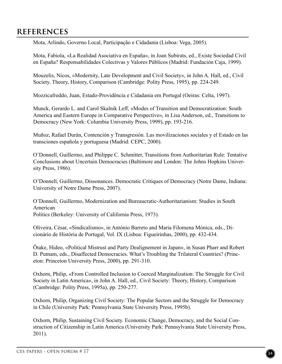Mota, Arlindo, Governo Local, Participação e Cidadania (Lisboa: Vega, 2005).

Mota, Fabiola, «La Realidad Asociativa en España», in Joan Subirats, ed., Existe Sociedad Civil en España? Responsabilidades Colectivas y Valores Públicos (Madrid: Fundación Caja, 1999).

Mouzelis, Nicos, «Modernity, Late Development and Civil Society», in John A. Hall, ed., Civil Society. Theory, History, Comparison (Cambridge: Polity Press, 1995), pp. 224-249.

Mozzicafreddo, Juan, Estado-Providência e Cidadania em Portugal (Oeiras: Celta, 1997).

Munck, Gerardo L. and Carol Skalnik Leff, «Modes of Transition and Democratization: South America and Eastern Europe in Comparative Perspective», in Lisa Anderson, ed., Transitions to Democracy (New York: Columbia University Press, 1999), pp. 193-216.

Muñoz, Rafael Durán, Contención y Transgresión. Las movilizaciones sociales y el Estado en las transciones española y portuguesa (Madrid: CEPC, 2000).

O'Donnell, Guillermo, and Philippe C. Schmitter, Transitions from Authoritarian Rule: Tentative Conclusions about Uncertain Democracies (Baltimore and London: The Johns Hopkins University Press, 1986).

O'Donnell, Guillermo, Dissonances. Democratic Critiques of Democracy (Notre Dame, Indiana: University of Notre Dame Press, 2007).

O'Donnell, Guillermo, Modernization and Bureaucratic-Authoritarianism: Studies in South American Politics (Berkeley: University of California Press, 1973).

Oliveira, César, «Sindicalismo», in António Barreto and Maria Filomena Mónica, eds., Dicionário de História de Portugal, Vol. IX (Lisboa: Figueirinhas, 2000), pp. 432-434.

Õtake, Hideo, «Political Mistrust and Party Dealignement in Japan», in Susan Pharr and Robert D. Putnam, eds., Disaffected Democracies. What's Troubling the Trilateral Countries? (Princeton: Princeton University Press, 2000), pp. 291-310.

Oxhorn, Philip, «From Controlled Inclusion to Coerced Marginalization: The Struggle for Civil Society in Latin America», in John A. Hall, ed., Civil Society: Theory, History, Comparison (Cambridge: Polity Press, 1995a), pp. 250-277.

Oxhorn, Philip, Organizing Civil Society: The Popular Sectors and the Struggle for Democracy in Chile (University Park: Pennsylvania State University Press, 1995b).

Oxhorn, Philip, Sustaining Civil Society. Economic Change, Democracy, and the Social Construction of Citizenship in Latin America (University Park: Pennsylvania State University Press, 2011).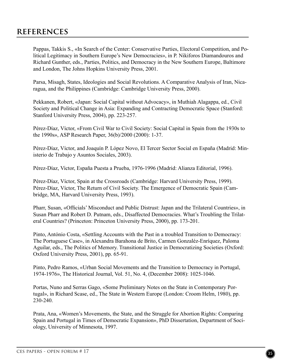Pappas, Takkis S., «In Search of the Center: Conservative Parties, Electoral Competition, and Political Legitimacy in Southern Europe's New Democracies», in P. Nikiforos Diamandouros and Richard Gunther, eds., Parties, Politics, and Democracy in the New Southern Europe, Baltimore and London, The Johns Hopkins University Press, 2001.

Parsa, Misagh, States, Ideologies and Social Revolutions. A Comparative Analysis of Iran, Nicaragua, and the Philippines (Cambridge: Cambridge University Press, 2000).

Pekkanen, Robert, «Japan: Social Capital without Advocacy», in Muthiah Alagappa, ed., Civil Society and Political Change in Asia: Expanding and Contracting Democratic Space (Stanford: Stanford University Press, 2004), pp. 223-257.

Pérez-Díaz, Víctor, «From Civil War to Civil Society: Social Capital in Spain from the 1930s to the 1990s», ASP Research Paper, 36(b)/2000 (2000): 1-37.

Pérez-Díaz, Víctor, and Joaquín P. López Novo, El Tercer Sector Social en España (Madrid: Ministerio de Trabajo y Asuntos Sociales, 2003).

Pérez-Díaz, Victor, España Puesta a Prueba, 1976-1996 (Madrid: Alianza Editorial, 1996).

Pérez-Díaz, Víctor, Spain at the Crossroads (Cambridge: Harvard University Press, 1999). Pérez-Díaz, Víctor, The Return of Civil Society. The Emergence of Democratic Spain (Cambridge, MA, Harvard University Press, 1993).

Pharr, Susan, «Officials' Misconduct and Public Distrust: Japan and the Trilateral Countries», in Susan Pharr and Robert D. Putnam, eds., Disaffected Democracies. What's Troubling the Trilateral Countries? (Princeton: Princeton University Press, 2000), pp. 173-201.

Pinto, António Costa, «Settling Accounts with the Past in a troubled Transition to Democracy: The Portuguese Case», in Alexandra Barahona de Brito, Carmen Gonzaléz-Enríquez, Paloma Aguilar, eds., The Politics of Memory. Transitional Justice in Democratizing Societies (Oxford: Oxford University Press, 2001), pp. 65-91.

Pinto, Pedro Ramos, «Urban Social Movements and the Transition to Democracy in Portugal, 1974-1976», The Historical Journal, Vol. 51, No. 4, (December 2008): 1025-1046.

Portas, Nuno and Serras Gago, «Some Preliminary Notes on the State in Contemporary Portugal», in Richard Scase, ed., The State in Western Europe (London: Croom Helm, 1980), pp. 230-240.

Prata, Ana, «Women's Movements, the State, and the Struggle for Abortion Rights: Comparing Spain and Portugal in Times of Democratic Expansion», PhD Dissertation, Department of Sociology, University of Minnesota, 1997.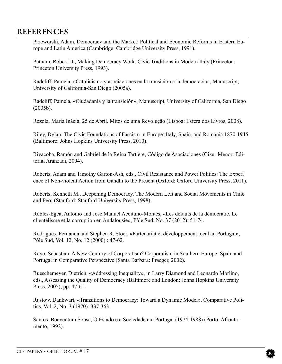Przeworski, Adam, Democracy and the Market: Political and Economic Reforms in Eastern Europe and Latin America (Cambridge: Cambridge University Press, 1991).

Putnam, Robert D., Making Democracy Work. Civic Traditions in Modern Italy (Princeton: Princeton University Press, 1993).

Radcliff, Pamela, «Catolicismo y asociaciones en la transición a la democracia», Manuscript, University of California-San Diego (2005a).

Radcliff, Pamela, «Ciudadanía y la transición», Manuscript, University of California, San Diego (2005b).

Rezola, Maria Inácia, 25 de Abril. Mitos de uma Revolução (Lisboa: Esfera dos Livros, 2008).

Riley, Dylan, The Civic Foundations of Fascism in Europe: Italy, Spain, and Romania 1870-1945 (Baltimore: Johns Hopkins University Press, 2010).

Rivacoba, Ramón and Gabriel de la Reina Tartière, Código de Asociaciones (Cizur Menor: Editorial Aranzadi, 2004).

Roberts, Adam and Timothy Garton-Ash, eds., Civil Resistance and Power Politics: The Experi ence of Non-violent Action from Gandhi to the Present (Oxford: Oxford University Press, 2011).

Roberts, Kenneth M., Deepening Democracy. The Modern Left and Social Movements in Chile and Peru (Stanford: Stanford University Press, 1998).

Robles-Egea, Antonio and José Manuel Aceituno-Montes, «Les défauts de la démocratie. Le clientélisme et la corruption en Andalousie», Pôle Sud, No. 37 (2012): 51-74.

Rodrigues, Fernanda and Stephen R. Stoer, «Partenariat et développement local au Portugal», Pôle Sud, Vol. 12, No. 12 (2000) : 47-62.

Royo, Sebastian, A New Century of Corporatism? Corporatism in Southern Europe: Spain and Portugal in Comparative Perspective (Santa Barbara: Praeger, 2002).

Rueschemeyer, Dietrich, «Addressing Inequality», in Larry Diamond and Leonardo Morlino, eds., Assessing the Quality of Democracy (Baltimore and London: Johns Hopkins University Press, 2005), pp. 47-61.

Rustow, Dankwart, «Transitions to Democracy: Toward a Dynamic Model», Comparative Politics, Vol. 2, No. 3 (1970): 337-363.

Santos, Boaventura Sousa, O Estado e a Sociedade em Portugal (1974-1988) (Porto: Afrontamento, 1992).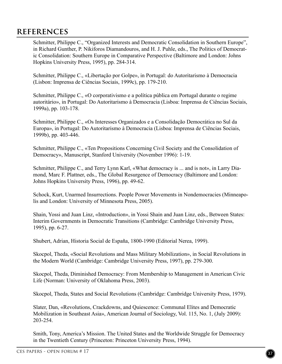Schmitter, Philippe C., "Organized Interests and Democratic Consolidation in Southern Europe", in Richard Gunther, P. Nikiforos Diamandouros, and H. J. Puhle, eds., The Politics of Democratic Consolidation: Southern Europe in Comparative Perspective (Baltimore and London: Johns Hopkins University Press, 1995), pp. 284-314.

Schmitter, Philippe C., «Libertação por Golpe», in Portugal: do Autoritarismo à Democracia (Lisbon: Imprensa de Ciências Sociais, 1999c), pp. 179-210.

Schmitter, Philippe C., «O corporativismo e a política pública em Portugal durante o regime autoritário», in Portugal: Do Autoritarismo à Democracia (Lisboa: Imprensa de Ciências Sociais, 1999a), pp. 103-178.

Schmitter, Philippe C., «Os Interesses Organizados e a Consolidação Democrática no Sul da Europa», in Portugal: Do Autoritarismo à Democracia (Lisboa: Imprensa de Ciências Sociais, 1999b), pp. 403-446.

Schmitter, Philippe C., «Ten Propositions Concerning Civil Society and the Consolidation of Democracy», Manuscript, Stanford University (November 1996): 1-19.

Schmitter, Philippe C., and Terry Lynn Karl, «What democracy is ... and is not», in Larry Diamond, Marc F. Plattner, eds., The Global Resurgence of Democracy (Baltimore and London: Johns Hopkins University Press, 1996), pp. 49-62.

Schock, Kurt, Unarmed Insurrections. People Power Movements in Nondemocracies (Minneapolis and London: University of Minnesota Press, 2005).

Shain, Yossi and Juan Linz, «Introduction», in Yossi Shain and Juan Linz, eds., Between States: Interim Governments in Democratic Transitions (Cambridge: Cambridge University Press, 1995), pp. 6-27.

Shubert, Adrian, Historia Social de España, 1800-1990 (Editorial Nerea, 1999).

Skocpol, Theda, «Social Revolutions and Mass Military Mobilization», in Social Revolutions in the Modern World (Cambridge: Cambridge University Press, 1997), pp. 279-300.

Skocpol, Theda, Diminished Democracy: From Membership to Management in American Civic Life (Norman: University of Oklahoma Press, 2003).

Skocpol, Theda, States and Social Revolutions (Cambridge: Cambridge University Press, 1979).

Slater, Dan, «Revolutions, Crackdowns, and Quiescence: Communal Elites and Democratic Mobilization in Southeast Asia», American Journal of Sociology, Vol. 115, No. 1, (July 2009): 203-254.

Smith, Tony, America's Mission. The United States and the Worldwide Struggle for Democracy in the Twentieth Century (Princeton: Princeton University Press, 1994).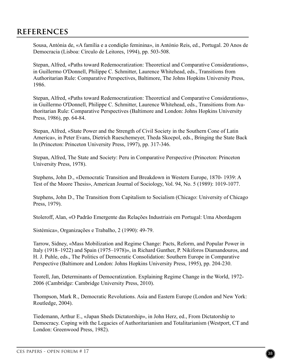Sousa, Antónia de, «A família e a condição feminina», in António Reis, ed., Portugal. 20 Anos de Democracia (Lisboa: Círculo de Leitores, 1994), pp. 503-508.

Stepan, Alfred, «Paths toward Redemocratization: Theoretical and Comparative Considerations», in Guillermo O'Donnell, Philippe C. Schmitter, Laurence Whitehead, eds., Transitions from Authoritarian Rule: Comparative Perspectives, Baltimore, The Johns Hopkins University Press, 1986.

Stepan, Alfred, «Paths toward Redemocratization: Theoretical and Comparative Considerations», in Guillermo O'Donnell, Philippe C. Schmitter, Laurence Whitehead, eds., Transitions from Authoritarian Rule: Comparative Perspectives (Baltimore and London: Johns Hopkins University Press, 1986), pp. 64-84.

Stepan, Alfred, «State Power and the Strength of Civil Society in the Southern Cone of Latin America», in Peter Evans, Dietrich Rueschemeyer, Theda Skocpol, eds., Bringing the State Back In (Princeton: Princeton University Press, 1997), pp. 317-346.

Stepan, Alfred, The State and Society: Peru in Comparative Perspective (Princeton: Princeton University Press, 1978).

Stephens, John D., «Democratic Transition and Breakdown in Western Europe, 1870- 1939: A Test of the Moore Thesis», American Journal of Sociology, Vol. 94, No. 5 (1989): 1019-1077.

Stephens, John D., The Transition from Capitalism to Socialism (Chicago: University of Chicago Press, 1979).

Stoleroff, Alan, «O Padrão Emergente das Relações Industriais em Portugal: Uma Abordagem

Sistémica», Organizações e Trabalho, 2 (1990): 49-79.

Tarrow, Sidney, «Mass Mobilization and Regime Change: Pacts, Reform, and Popular Power in Italy (1918–1922) and Spain (1975–1978)», in Richard Gunther, P. Nikiforos Diamandouros, and H. J. Puhle, eds., The Politics of Democratic Consolidation: Southern Europe in Comparative Perspective (Baltimore and London: Johns Hopkins University Press, 1995), pp. 204-230.

Teorell, Jan, Determinants of Democratization. Explaining Regime Change in the World, 1972- 2006 (Cambridge: Cambridge University Press, 2010).

Thompson, Mark R., Democratic Revolutions. Asia and Eastern Europe (London and New York: Routledge, 2004).

Tiedemann, Arthur E., «Japan Sheds Dictatorship», in John Herz, ed., From Dictatorship to Democracy. Coping with the Legacies of Authoritarianism and Totalitarianism (Westport, CT and London: Greenwood Press, 1982).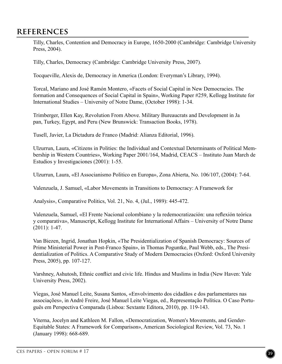Tilly, Charles, Contention and Democracy in Europe, 1650-2000 (Cambridge: Cambridge University Press, 2004).

Tilly, Charles, Democracy (Cambridge: Cambridge University Press, 2007).

Tocqueville, Alexis de, Democracy in America (London: Everyman's Library, 1994).

Torcal, Mariano and José Ramón Montero, «Facets of Social Capital in New Democracies. The formation and Consequences of Social Capital in Spain», Working Paper #259, Kellogg Institute for International Studies – University of Notre Dame, (October 1998): 1-34.

Trimberger, Ellen Kay, Revolution From Above. Military Bureaucrats and Development in Ja pan, Turkey, Egypt, and Peru (New Brunswick: Transaction Books, 1978).

Tusell, Javier, La Dictadura de Franco (Madrid: Alianza Editorial, 1996).

Ulzurrun, Laura, «Citizens in Polities: the Individual and Contextual Determinants of Political Membership in Western Countries», Working Paper 2001/164, Madrid, CEACS – Instituto Juan March de Estudios y Investigaciones (2001): 1-55.

Ulzurrun, Laura, «El Associanismo Politico en Europa», Zona Abierta, No. 106/107, (2004): 7-64.

Valenzuela, J. Samuel, «Labor Movements in Transitions to Democracy: A Framework for

Analysis», Comparative Politics, Vol. 21, No. 4, (Jul., 1989): 445-472.

Valenzuela, Samuel, «El Frente Nacional colombiano y la redemocratización: una reflexión teórica y comparativa», Manuscript, Kellogg Institute for International Affairs – University of Notre Dame (2011): 1-47.

Van Biezen, Ingrid, Jonathan Hopkin, «The Presidentialization of Spanish Democracy: Sources of Prime Ministerial Power in Post-Franco Spain», in Thomas Poguntke, Paul Webb, eds., The Presidentialization of Politics. A Comparative Study of Modern Democracies (Oxford: Oxford University Press, 2005), pp. 107-127.

Varshney, Ashutosh, Ethnic conflict and civic life. Hindus and Muslims in India (New Haven: Yale University Press, 2002).

Viegas, José Manuel Leite, Susana Santos, «Envolvimento dos cidadãos e dos parlamentares nas associações», in André Freire, José Manuel Leite Viegas, ed., Representação Política. O Caso Português em Perspectiva Comparada (Lisboa: Sextante Editora, 2010), pp. 119-143.

Viterna, Jocelyn and Kathleen M. Fallon, «Democratization, Women's Movements, and Gender-Equitable States: A Framework for Comparison», American Sociological Review, Vol. 73, No. 1 (January 1998): 668-689.